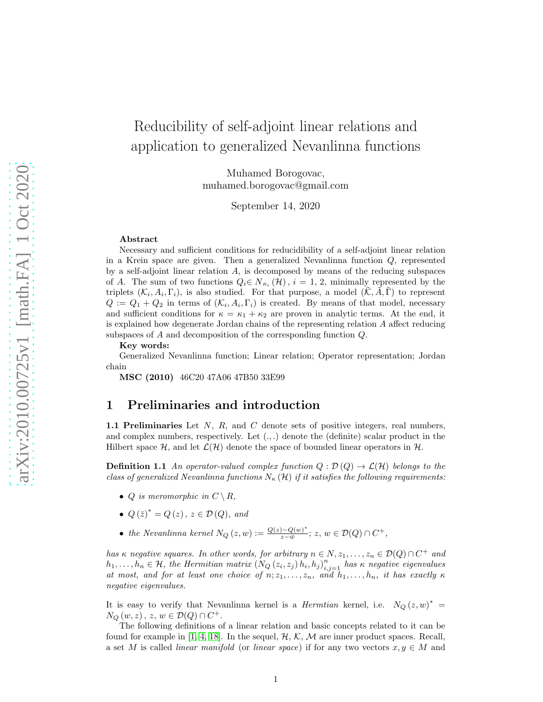# Reducibility of self-adjoint linear relations and application to generalized Nevanlinna functions

Muhamed Borogovac, muhamed.borogovac@gmail.com

September 14, 2020

#### Abstract

Necessary and sufficient conditions for reducidibility of a self-adjoint linear relation in a Krein space are given. Then a generalized Nevanlinna function  $Q$ , represented by a self-adjoint linear relation A, is decomposed by means of the reducing subspaces of A. The sum of two functions  $Q_i \in N_{\kappa_i}(\mathcal{H}), i = 1, 2$ , minimally represented by the triplets  $(\mathcal{K}_i, A_i, \Gamma_i)$ , is also studied. For that purpose, a model  $(\tilde{\mathcal{K}}, \tilde{A}, \tilde{\Gamma})$  to represent  $Q := Q_1 + Q_2$  in terms of  $(\mathcal{K}_i, A_i, \Gamma_i)$  is created. By means of that model, necessary and sufficient conditions for  $\kappa = \kappa_1 + \kappa_2$  are proven in analytic terms. At the end, it is explained how degenerate Jordan chains of the representing relation A affect reducing subspaces of A and decomposition of the corresponding function Q.

Key words:

Generalized Nevanlinna function; Linear relation; Operator representation; Jordan chain

MSC (2010) 46C20 47A06 47B50 33E99

### <span id="page-0-1"></span>1 Preliminaries and introduction

1.1 Preliminaries Let  $N$ ,  $R$ , and  $C$  denote sets of positive integers, real numbers, and complex numbers, respectively. Let  $(.,.)$  denote the (definite) scalar product in the Hilbert space  $\mathcal{H}$ , and let  $\mathcal{L}(\mathcal{H})$  denote the space of bounded linear operators in  $\mathcal{H}$ .

<span id="page-0-0"></span>**Definition 1.1** An operator-valued complex function  $Q : \mathcal{D}(Q) \to \mathcal{L}(\mathcal{H})$  belongs to the class of generalized Nevanlinna functions  $N_{\kappa}(\mathcal{H})$  if it satisfies the following requirements:

- Q is meromorphic in  $C \setminus R$ ,
- $Q(\bar{z})^* = Q(z), z \in \mathcal{D}(Q), \text{ and}$
- the Nevanlinna kernel  $N_Q(z, w) := \frac{Q(z) Q(w)^*}{z \bar{w}}$  $\frac{y^{\overline{-Q(w)^*}}}{z-\overline{w}}$ ; z,  $w \in \mathcal{D}(Q) \cap C^+$ ,

has  $\kappa$  negative squares. In other words, for arbitrary  $n \in N, z_1, \ldots, z_n \in \mathcal{D}(Q) \cap C^+$  and  $h_1, \ldots, h_n \in \mathcal{H}$ , the Hermitian matrix  $(N_Q(z_i, z_j) h_i, h_j)_{i,j=1}^n$  has  $\kappa$  negative eigenvalues at most, and for at least one choice of  $n; z_1, \ldots, z_n$ , and  $h_1, \ldots, h_n$ , it has exactly  $\kappa$ negative eigenvalues.

It is easy to verify that Nevanlinna kernel is a *Hermtian* kernel, i.e.  $N_Q(z, w)^* =$  $N_Q(w, z)$ ,  $z, w \in \mathcal{D}(Q) \cap C^+$ .

The following definitions of a linear relation and basic concepts related to it can be found for example in [\[1,](#page-25-0) [4,](#page-25-1) [18\]](#page-26-0). In the sequel,  $H$ ,  $K$ ,  $M$  are inner product spaces. Recall, a set M is called *linear manifold* (or *linear space*) if for any two vectors  $x, y \in M$  and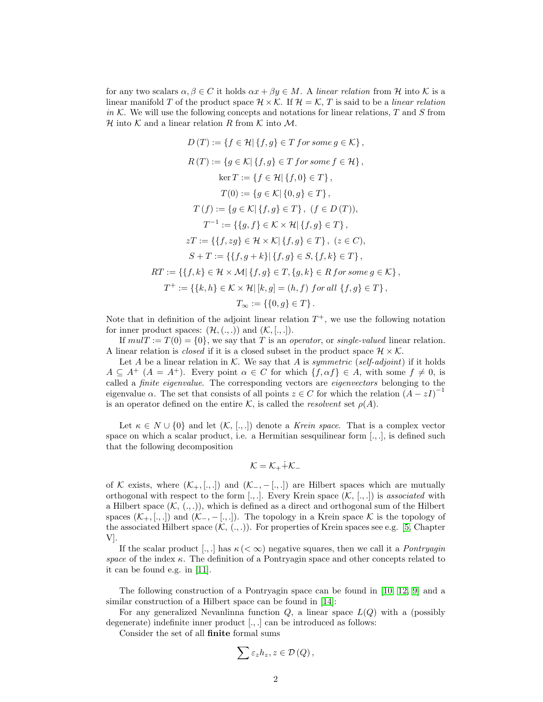for any two scalars  $\alpha, \beta \in C$  it holds  $\alpha x + \beta y \in M$ . A linear relation from H into K is a linear manifold T of the product space  $\mathcal{H} \times \mathcal{K}$ . If  $\mathcal{H} = \mathcal{K}$ , T is said to be a *linear relation* in K. We will use the following concepts and notations for linear relations,  $T$  and  $S$  from H into K and a linear relation R from K into M.

$$
D(T) := \{f \in \mathcal{H} | \{f, g\} \in T \text{ for some } g \in \mathcal{K}\},
$$
  
\n
$$
R(T) := \{g \in \mathcal{K} | \{f, g\} \in T \text{ for some } f \in \mathcal{H}\},
$$
  
\n
$$
\ker T := \{f \in \mathcal{H} | \{f, 0\} \in T\},
$$
  
\n
$$
T(0) := \{g \in \mathcal{K} | \{0, g\} \in T\},
$$
  
\n
$$
T(f) := \{g \in \mathcal{K} | \{f, g\} \in T\}, (f \in D(T)),
$$
  
\n
$$
T^{-1} := \{\{g, f\} \in \mathcal{K} \times \mathcal{H} | \{f, g\} \in T\}, (z \in C),
$$
  
\n
$$
S + T := \{\{f, g + k\} | \{f, g\} \in S, \{f, k\} \in T\},
$$
  
\n
$$
RT := \{\{f, k\} \in \mathcal{H} \times \mathcal{M} | \{f, g\} \in T, \{g, k\} \in R \text{ for some } g \in \mathcal{K}\},
$$
  
\n
$$
T^{+} := \{\{k, h\} \in \mathcal{K} \times \mathcal{H} | \, [k, g] = (h, f) \text{ for all } \{f, g\} \in T\},
$$
  
\n
$$
T_{\infty} := \{\{0, g\} \in T\}.
$$

Note that in definition of the adjoint linear relation  $T^+$ , we use the following notation for inner product spaces:  $(\mathcal{H}, (., .))$  and  $(\mathcal{K}, [., .])$ .

If  $mulT := T(0) = \{0\}$ , we say that T is an operator, or single-valued linear relation. A linear relation is *closed* if it is a closed subset in the product space  $\mathcal{H} \times \mathcal{K}$ .

Let A be a linear relation in K. We say that A is symmetric (self-adjoint) if it holds  $A \subseteq A^+$   $(A = A^+)$ . Every point  $\alpha \in C$  for which  $\{f, \alpha f\} \in A$ , with some  $f \neq 0$ , is called a finite eigenvalue. The corresponding vectors are eigenvectors belonging to the eigenvalue  $\alpha$ . The set that consists of all points  $z \in C$  for which the relation  $(A - zI)^{-1}$ is an operator defined on the entire K, is called the *resolvent* set  $\rho(A)$ .

Let  $\kappa \in N \cup \{0\}$  and let  $(\mathcal{K}, [., .])$  denote a Krein space. That is a complex vector space on which a scalar product, i.e. a Hermitian sesquilinear form  $[.,.]$  is defined such that the following decomposition

$$
\mathcal{K}=\mathcal{K}_+\dot{+}\mathcal{K}_-
$$

of K exists, where  $(\mathcal{K}_+,[.,.])$  and  $(\mathcal{K}_-,-[.,.)]$  are Hilbert spaces which are mutually orthogonal with respect to the form  $[.,.]$ . Every Krein space  $(\mathcal{K}, [.,])$  is associated with a Hilbert space  $(K, (., .))$ , which is defined as a direct and orthogonal sum of the Hilbert spaces  $(\mathcal{K}_+,\ldots)$  and  $(\mathcal{K}_-,-\ldots)$ . The topology in a Krein space K is the topology of the associated Hilbert space  $(K, (., .))$ . For properties of Krein spaces see e.g. [\[5,](#page-25-2) Chapter V].

If the scalar product [., ] has  $\kappa \leq \infty$  negative squares, then we call it a *Pontryagin* space of the index  $\kappa$ . The definition of a Pontryagin space and other concepts related to it can be found e.g. in [\[11\]](#page-26-1).

The following construction of a Pontryagin space can be found in [\[10,](#page-26-2) [12,](#page-26-3) [9\]](#page-25-3) and a similar construction of a Hilbert space can be found in [\[14\]](#page-26-4):

For any generalized Nevanlinna function  $Q$ , a linear space  $L(Q)$  with a (possibly degenerate) indefinite inner product  $[.,.]$  can be introduced as follows:

Consider the set of all finite formal sums

$$
\sum \varepsilon_{z}h_{z}, z\in \mathcal{D}\left(Q\right),
$$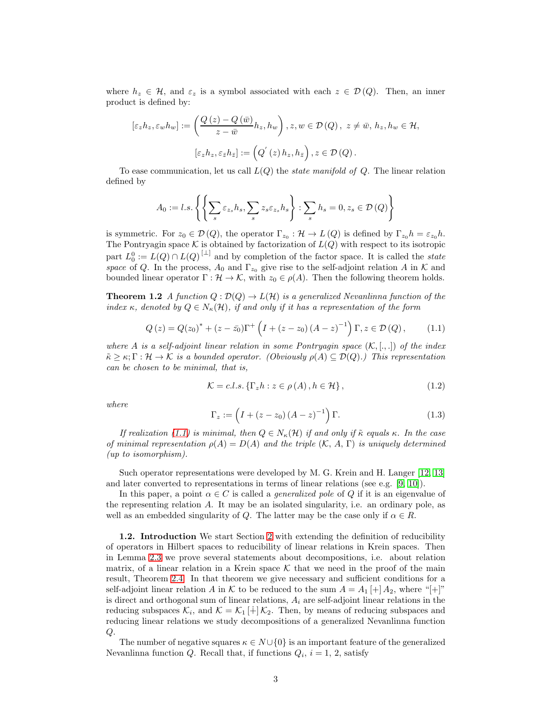where  $h_z \in \mathcal{H}$ , and  $\varepsilon_z$  is a symbol associated with each  $z \in \mathcal{D}(Q)$ . Then, an inner product is defined by:

$$
[\varepsilon_{z}h_{z}, \varepsilon_{w}h_{w}] := \left(\frac{Q(z) - Q(\bar{w})}{z - \bar{w}}h_{z}, h_{w}\right), z, w \in \mathcal{D}(Q), z \neq \bar{w}, h_{z}, h_{w} \in \mathcal{H},
$$

$$
[\varepsilon_{z}h_{z}, \varepsilon_{\bar{z}}h_{\bar{z}}] := \left(Q'(z)h_{z}, h_{\bar{z}}\right), z \in \mathcal{D}(Q).
$$

To ease communication, let us call  $L(Q)$  the *state manifold of Q*. The linear relation defined by

$$
A_0 := l.s.\left\{ \left\{ \sum_s \varepsilon_{z_s} h_s, \sum_s z_s \varepsilon_{z_s} h_s \right\} : \sum_s h_s = 0, z_s \in \mathcal{D}\left(Q\right) \right\}
$$

is symmetric. For  $z_0 \in \mathcal{D}(Q)$ , the operator  $\Gamma_{z_0} : \mathcal{H} \to L(Q)$  is defined by  $\Gamma_{z_0} h = \varepsilon_{z_0} h$ . The Pontryagin space K is obtained by factorization of  $L(Q)$  with respect to its isotropic part  $L_0^0 := L(Q) \cap L(Q)^{[\perp]}$  and by completion of the factor space. It is called the *state* space of Q. In the process,  $A_0$  and  $\Gamma_{z_0}$  give rise to the self-adjoint relation A in K and bounded linear operator  $\Gamma : \mathcal{H} \to \mathcal{K}$ , with  $z_0 \in \rho(A)$ . Then the following theorem holds.

<span id="page-2-1"></span><span id="page-2-0"></span>**Theorem 1.2** A function  $Q : \mathcal{D}(Q) \to L(\mathcal{H})$  is a generalized Nevanlinna function of the index κ, denoted by  $Q \in N_{\kappa}(\mathcal{H})$ , if and only if it has a representation of the form

$$
Q(z) = Q(z_0)^* + (z - \bar{z_0})\Gamma^+ \left( I + (z - z_0) (A - z)^{-1} \right) \Gamma, z \in \mathcal{D}(Q), \quad (1.1)
$$

where A is a self-adjoint linear relation in some Pontryagin space  $(\mathcal{K}, \ldots)$  of the index  $\tilde{\kappa} \geq \kappa; \Gamma : \mathcal{H} \to \mathcal{K}$  is a bounded operator. (Obviously  $\rho(A) \subseteq \mathcal{D}(Q)$ .) This representation can be chosen to be minimal, that is,

$$
\mathcal{K} = c.l.s. \left\{ \Gamma_z h : z \in \rho(A), h \in \mathcal{H} \right\},\tag{1.2}
$$

where

$$
\Gamma_z := \left( I + (z - z_0) (A - z)^{-1} \right) \Gamma.
$$
 (1.3)

If realization [\(1.1\)](#page-2-0) is minimal, then  $Q \in N_{\kappa}(\mathcal{H})$  if and only if  $\tilde{\kappa}$  equals  $\kappa$ . In the case of minimal representation  $\rho(A) = D(A)$  and the triple  $(K, A, \Gamma)$  is uniquely determined (up to isomorphism).

Such operator representations were developed by M. G. Krein and H. Langer [\[12,](#page-26-3) [13\]](#page-26-5) and later converted to representations in terms of linear relations (see e.g. [\[9,](#page-25-3) [10\]](#page-26-2)).

In this paper, a point  $\alpha \in C$  is called a *generalized pole* of Q if it is an eigenvalue of the representing relation A. It may be an isolated singularity, i.e. an ordinary pole, as well as an embedded singularity of Q. The latter may be the case only if  $\alpha \in R$ .

1.2. Introduction We start Section [2](#page-4-0) with extending the definition of reducibility of operators in Hilbert spaces to reducibility of linear relations in Krein spaces. Then in Lemma [2.3](#page-5-0) we prove several statements about decompositions, i.e. about relation matrix, of a linear relation in a Krein space  $\mathcal K$  that we need in the proof of the main result, Theorem [2.4.](#page-6-0) In that theorem we give necessary and sufficient conditions for a self-adjoint linear relation A in K to be reduced to the sum  $A = A_1[+]A_2$ , where "[+]" is direct and orthogonal sum of linear relations,  $A_i$  are self-adjoint linear relations in the reducing subspaces  $\mathcal{K}_i$ , and  $\mathcal{K} = \mathcal{K}_1[\dot{+}] \mathcal{K}_2$ . Then, by means of reducing subspaces and reducing linear relations we study decompositions of a generalized Nevanlinna function Q.

The number of negative squares  $\kappa \in N \cup \{0\}$  is an important feature of the generalized Nevanlinna function  $Q$ . Recall that, if functions  $Q_i$ ,  $i = 1, 2$ , satisfy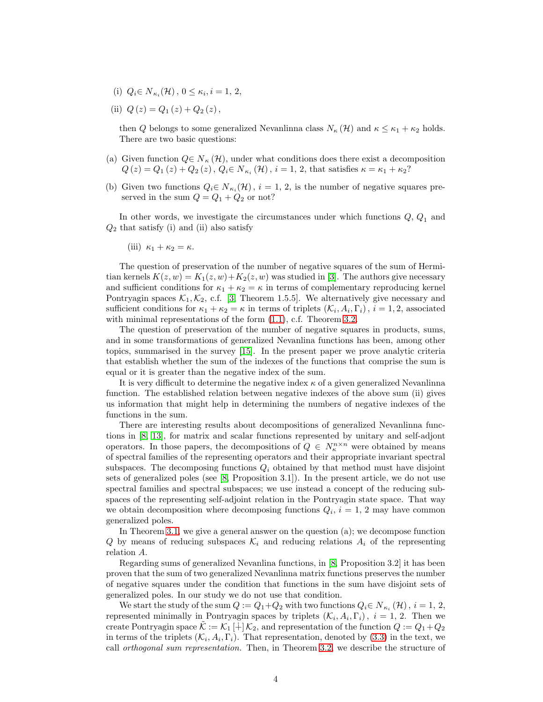- (i)  $Q_i \in N_{\kappa_i}(\mathcal{H}), 0 \leq \kappa_i, i = 1, 2,$
- (ii)  $Q(z) = Q_1(z) + Q_2(z)$ ,

then Q belongs to some generalized Nevanlinna class  $N_{\kappa}(\mathcal{H})$  and  $\kappa \leq \kappa_1 + \kappa_2$  holds. There are two basic questions:

- (a) Given function  $Q \in N_{\kappa}(\mathcal{H})$ , under what conditions does there exist a decomposition  $Q(z) = Q_1(z) + Q_2(z)$ ,  $Q_i \in N_{\kappa_i}(\mathcal{H})$ ,  $i = 1, 2$ , that satisfies  $\kappa = \kappa_1 + \kappa_2$ ?
- (b) Given two functions  $Q_i \in N_{\kappa_i}(\mathcal{H}), i = 1, 2$ , is the number of negative squares preserved in the sum  $Q = Q_1 + Q_2$  or not?

In other words, we investigate the circumstances under which functions  $Q, Q_1$  and  $Q_2$  that satisfy (i) and (ii) also satisfy

(iii) 
$$
\kappa_1 + \kappa_2 = \kappa
$$
.

The question of preservation of the number of negative squares of the sum of Hermitian kernels  $K(z, w) = K_1(z, w) + K_2(z, w)$  was studied in [\[3\]](#page-25-4). The authors give necessary and sufficient conditions for  $\kappa_1 + \kappa_2 = \kappa$  in terms of complementary reproducing kernel Pontryagin spaces  $K_1, K_2,$  c.f. [\[3,](#page-25-4) Theorem 1.5.5]. We alternatively give necessary and sufficient conditions for  $\kappa_1 + \kappa_2 = \kappa$  in terms of triplets  $(\mathcal{K}_i, A_i, \Gamma_i)$ ,  $i = 1, 2$ , associated with minimal representations of the form  $(1.1)$ , c.f. Theorem [3.2.](#page-12-0)

The question of preservation of the number of negative squares in products, sums, and in some transformations of generalized Nevanlina functions has been, among other topics, summarised in the survey [\[15\]](#page-26-6). In the present paper we prove analytic criteria that establish whether the sum of the indexes of the functions that comprise the sum is equal or it is greater than the negative index of the sum.

It is very difficult to determine the negative index  $\kappa$  of a given generalized Nevanlinna function. The established relation between negative indexes of the above sum (ii) gives us information that might help in determining the numbers of negative indexes of the functions in the sum.

There are interesting results about decompositions of generalized Nevanlinna functions in [\[8,](#page-25-5) [13\]](#page-26-5), for matrix and scalar functions represented by unitary and self-adjont operators. In those papers, the decompositions of  $Q \in N_{\kappa}^{n \times n}$  were obtained by means of spectral families of the representing operators and their appropriate invariant spectral subspaces. The decomposing functions  $Q_i$  obtained by that method must have disjoint sets of generalized poles (see  $[8,$  Proposition 3.1]). In the present article, we do not use spectral families and spectral subspaces; we use instead a concept of the reducing subspaces of the representing self-adjoint relation in the Pontryagin state space. That way we obtain decomposition where decomposing functions  $Q_i$ ,  $i = 1, 2$  may have common generalized poles.

In Theorem [3.1,](#page-10-0) we give a general answer on the question (a); we decompose function Q by means of reducing subspaces  $\mathcal{K}_i$  and reducing relations  $A_i$  of the representing relation A.

Regarding sums of generalized Nevanlina functions, in [\[8,](#page-25-5) Proposition 3.2] it has been proven that the sum of two generalized Nevanlinna matrix functions preserves the number of negative squares under the condition that functions in the sum have disjoint sets of generalized poles. In our study we do not use that condition.

We start the study of the sum  $Q := Q_1 + Q_2$  with two functions  $Q_i \in N_{\kappa_i}(\mathcal{H}), i = 1, 2,$ represented minimally in Pontryagin spaces by triplets  $(\mathcal{K}_i, A_i, \Gamma_i)$ ,  $i = 1, 2$ . Then we create Pontryagin space  $\mathcal{K} := \mathcal{K}_1[\div] \mathcal{K}_2$ , and representation of the function  $Q := Q_1 + Q_2$ in terms of the triplets  $(\mathcal{K}_i, A_i, \Gamma_i)$ . That representation, denoted by [\(3.3\)](#page-10-1) in the text, we call orthogonal sum representation. Then, in Theorem [3.2,](#page-12-0) we describe the structure of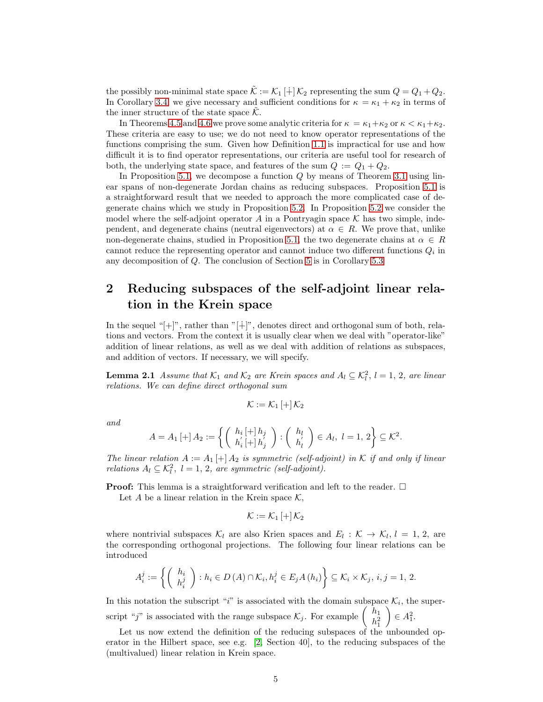the possibly non-minimal state space  $\mathcal{K} := \mathcal{K}_1[\frac{1}{2}] \mathcal{K}_2$  representing the sum  $Q = Q_1 + Q_2$ . In Corollary [3.4,](#page-13-0) we give necessary and sufficient conditions for  $\kappa = \kappa_1 + \kappa_2$  in terms of the inner structure of the state space  $K$ .

In Theorems [4.5](#page-18-0) and [4.6](#page-19-0) we prove some analytic criteria for  $\kappa = \kappa_1 + \kappa_2$  or  $\kappa < \kappa_1 + \kappa_2$ . These criteria are easy to use; we do not need to know operator representations of the functions comprising the sum. Given how Definition [1.1](#page-0-0) is impractical for use and how difficult it is to find operator representations, our criteria are useful tool for research of both, the underlying state space, and features of the sum  $Q := Q_1 + Q_2$ .

In Proposition [5.1,](#page-23-0) we decompose a function  $Q$  by means of Theorem [3.1](#page-10-0) using linear spans of non-degenerate Jordan chains as reducing subspaces. Proposition [5.1](#page-23-0) is a straightforward result that we needed to approach the more complicated case of degenerate chains which we study in Proposition [5.2.](#page-23-1) In Proposition [5.2](#page-23-1) we consider the model where the self-adjoint operator A in a Pontryagin space  $K$  has two simple, independent, and degenerate chains (neutral eigenvectors) at  $\alpha \in R$ . We prove that, unlike non-degenerate chains, studied in Proposition [5.1,](#page-23-0) the two degenerate chains at  $\alpha \in R$ cannot reduce the representing operator and cannot induce two different functions  $Q_i$  in any decomposition of Q. The conclusion of Section [5](#page-23-2) is in Corollary [5.3](#page-25-6)

### <span id="page-4-0"></span>2 Reducing subspaces of the self-adjoint linear relation in the Krein space

In the sequel "[+]", rather than "[∔]", denotes direct and orthogonal sum of both, relations and vectors. From the context it is usually clear when we deal with "operator-like" addition of linear relations, as well as we deal with addition of relations as subspaces, and addition of vectors. If necessary, we will specify.

<span id="page-4-1"></span>**Lemma 2.1** Assume that  $\mathcal{K}_1$  and  $\mathcal{K}_2$  are Krein spaces and  $A_l \subseteq \mathcal{K}_l^2$ ,  $l = 1, 2$ , are linear relations. We can define direct orthogonal sum

$$
\mathcal{K}:=\mathcal{K}_{1}\left[ +\right] \mathcal{K}_{2}
$$

and

$$
A = A_1 \left[ + \right] A_2 := \left\{ \left( \begin{array}{c} h_i \left[ + \right] h_j \\ h'_i \left[ + \right] h'_j \end{array} \right) : \left( \begin{array}{c} h_l \\ h'_l \end{array} \right) \in A_l, \ l = 1, 2 \right\} \subseteq \mathcal{K}^2.
$$

The linear relation  $A := A_1[+] A_2$  is symmetric (self-adjoint) in K if and only if linear relations  $A_l \subseteq \mathcal{K}_l^2$ ,  $l = 1, 2$ , are symmetric (self-adjoint).

**Proof:** This lemma is a straightforward verification and left to the reader.  $\Box$ 

Let A be a linear relation in the Krein space  $\mathcal{K}$ ,

$$
\mathcal{K}:=\mathcal{K}_{1}\left[ +\right] \mathcal{K}_{2}
$$

where nontrivial subspaces  $\mathcal{K}_l$  are also Krien spaces and  $E_l : \mathcal{K} \to \mathcal{K}_l, l = 1, 2$ , are the corresponding orthogonal projections. The following four linear relations can be introduced

$$
A_i^j := \left\{ \left( \begin{array}{c} h_i \\ h_i^j \end{array} \right) : h_i \in D(A) \cap \mathcal{K}_i, h_i^j \in E_j A(h_i) \right\} \subseteq \mathcal{K}_i \times \mathcal{K}_j, i, j = 1, 2.
$$

In this notation the subscript "i" is associated with the domain subspace  $\mathcal{K}_i$ , the superscript "j" is associated with the range subspace  $\mathcal{K}_j$ . For example  $\begin{pmatrix} h_1 \\ h_2^2 \end{pmatrix}$  $h_1^2$  $\Big) \in A_1^2.$ 

<span id="page-4-2"></span>Let us now extend the definition of the reducing subspaces of the unbounded operator in the Hilbert space, see e.g. [\[2,](#page-25-7) Section 40], to the reducing subspaces of the (multivalued) linear relation in Krein space.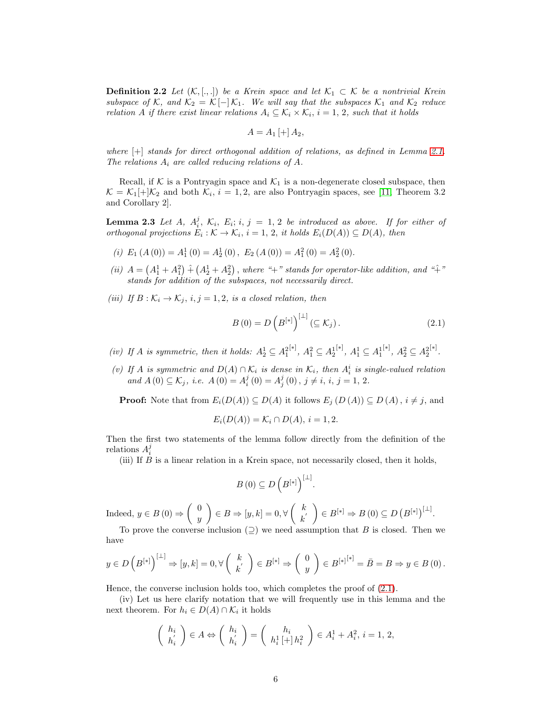**Definition 2.2** Let  $(K, [\cdot, \cdot])$  be a Krein space and let  $K_1 \subset K$  be a nontrivial Krein subspace of K, and  $\mathcal{K}_2 = \mathcal{K}[-]\mathcal{K}_1$ . We will say that the subspaces  $\mathcal{K}_1$  and  $\mathcal{K}_2$  reduce relation A if there exist linear relations  $A_i \subseteq \mathcal{K}_i \times \mathcal{K}_i$ ,  $i = 1, 2$ , such that it holds

$$
A=A_1\left[+\right]A_2,
$$

where [+] stands for direct orthogonal addition of relations, as defined in Lemma [2.1.](#page-4-1) The relations  $A_i$  are called reducing relations of  $A$ .

Recall, if K is a Pontryagin space and  $\mathcal{K}_1$  is a non-degenerate closed subspace, then  $\mathcal{K} = \mathcal{K}_1[+]\mathcal{K}_2$  and both  $\mathcal{K}_i$ ,  $i = 1, 2$ , are also Pontryagin spaces, see [\[11,](#page-26-1) Theorem 3.2] and Corollary 2].

<span id="page-5-0"></span>**Lemma 2.3** Let A,  $A_i^j$ ,  $\mathcal{K}_i$ ,  $E_i$ ; i, j = 1, 2 be introduced as above. If for either of orthogonal projections  $E_i : \mathcal{K} \to \mathcal{K}_i$ ,  $i = 1, 2$ , it holds  $E_i(D(A)) \subseteq D(A)$ , then

- (i)  $E_1(A(0)) = A_1^1(0) = A_2^1(0), E_2(A(0)) = A_1^2(0) = A_2^2(0).$
- (ii)  $A = (A_1^1 + A_1^2) + (A_2^1 + A_2^2)$ , where "+" stands for operator-like addition, and "+" stands for addition of the subspaces, not necessarily direct.
- (iii) If  $B: \mathcal{K}_i \to \mathcal{K}_j$ ,  $i, j = 1, 2$ , is a closed relation, then

<span id="page-5-1"></span>
$$
B(0) = D\left(B^{[*]}\right)^{[ \perp]} (\subseteq \mathcal{K}_j). \tag{2.1}
$$

- (iv) If A is symmetric, then it holds:  $A_2^1 \subseteq A_1^2$ <sup>[∗]</sup>,  $A_1^2 \subseteq A_2^1$  $[$ <sup>\* $]$ </sup>,  $A_1^1$  ⊆  $A_1^1$ <sup>[∗]</sup>,  $A_2^2 \subseteq A_2^2$ [∗] .
- (v) If A is symmetric and  $D(A) \cap \mathcal{K}_i$  is dense in  $\mathcal{K}_i$ , then  $A_i^i$  is single-valued relation and  $A(0) \subseteq \mathcal{K}_j$ , i.e.  $A(0) = A_i^j(0) = A_j^j(0)$ ,  $j \neq i$ ,  $i, j = 1, 2$ .

**Proof:** Note that from  $E_i(D(A)) \subseteq D(A)$  it follows  $E_j(D(A)) \subseteq D(A)$ ,  $i \neq j$ , and

$$
E_i(D(A)) = \mathcal{K}_i \cap D(A), i = 1, 2.
$$

Then the first two statements of the lemma follow directly from the definition of the relations  $A_i^j$ 

(iii) If B is a linear relation in a Krein space, not necessarily closed, then it holds,

$$
B(0) \subseteq D\left(B^{[*]}\right)^{[\perp]}.
$$

Indeed,  $y \in B(0) \Rightarrow \begin{pmatrix} 0 \\ y \end{pmatrix}$  $\hat{y}$  $\Big\} \in B \Rightarrow [y, k] = 0, \forall \left( \begin{array}{c} k \\ k \end{array} \right)$  $\begin{array}{c} k \ k' \end{array} \Big) \in B^{[*]} \Rightarrow B\left(0\right) \subseteq D\left(B^{[*]}\right)^{[\perp]}.$ 

To prove the converse inclusion  $(2)$  we need assumption that B is closed. Then we have

$$
y \in D\left(B^{[*]}\right)^{[\perp]} \Rightarrow [y,k] = 0, \forall \left(\begin{array}{c} k \\ k' \end{array}\right) \in B^{[*]} \Rightarrow \left(\begin{array}{c} 0 \\ y \end{array}\right) \in B^{[*]^{[*]}} = \overline{B} = B \Rightarrow y \in B(0).
$$

Hence, the converse inclusion holds too, which completes the proof of [\(2.1\)](#page-5-1).

(iv) Let us here clarify notation that we will frequently use in this lemma and the next theorem. For  $h_i \in D(A) \cap \mathcal{K}_i$  it holds

$$
\begin{pmatrix} h_i \\ h'_i \end{pmatrix} \in A \Leftrightarrow \begin{pmatrix} h_i \\ h'_i \end{pmatrix} = \begin{pmatrix} h_i \\ h_i^1 \left[ + \right] h_i^2 \end{pmatrix} \in A_i^1 + A_i^2, \ i = 1, 2,
$$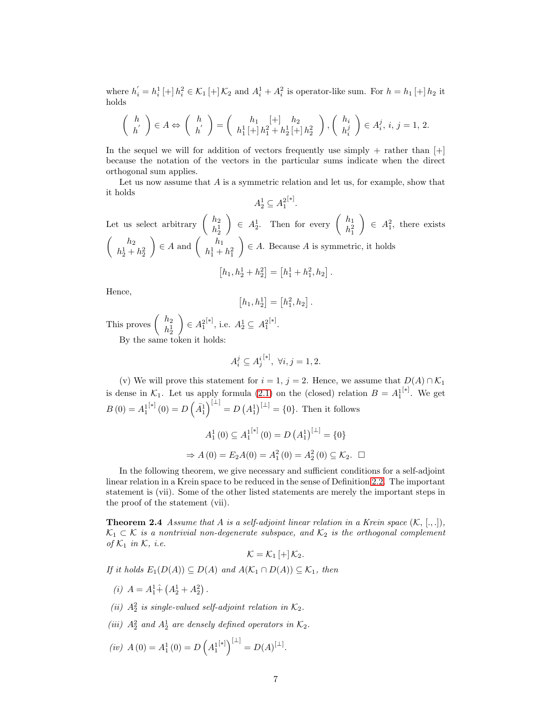where  $h'_i = h_i^1 \left[ + \right] h_i^2 \in \mathcal{K}_1 \left[ + \right] \mathcal{K}_2$  and  $A_i^1 + A_i^2$  is operator-like sum. For  $h = h_1 \left[ + \right] h_2$  it holds

$$
\begin{pmatrix} h \\ h' \end{pmatrix} \in A \Leftrightarrow \begin{pmatrix} h \\ h' \end{pmatrix} = \begin{pmatrix} h_1 & [+] & h_2 \\ h_1^1 \left[ + \left[ h_1^2 + h_2^1 \right] + \left[ h_2^2 \right] \end{pmatrix}, \begin{pmatrix} h_i \\ h_i^j \end{pmatrix} \in A_i^j, \, i, \, j = 1, \, 2.
$$

In the sequel we will for addition of vectors frequently use simply  $+$  rather than  $[+]$ because the notation of the vectors in the particular sums indicate when the direct orthogonal sum applies.

Let us now assume that  $A$  is a symmetric relation and let us, for example, show that it holds

$$
A_2^1 \subseteq A_1^{2[*]}.
$$

Let us select arbitrary  $\begin{pmatrix} h_2 \\ h_1 \end{pmatrix}$  $h_2^1$  $\Bigg) \in A_2^1$ . Then for every  $\left( \begin{array}{c} h_1 \\ h_2^2 \end{array} \right)$  $h_1^2$  $\Big) \in A_1^2$ , there exists  $\begin{pmatrix} h_2 \end{pmatrix}$  $h_2^1 + h_2^2$  $\Big) \in A$  and  $\Big( \begin{array}{c} h_1 \\ h_1^1 + \end{array} \Big)$  $h_1^1 + h_1^2$  $\Big) \in A$ . Because A is symmetric, it holds  $[h_1, h_2^1 + h_2^2] = [h_1^1 + h_1^2, h_2].$ 

Hence,

$$
[h_1,h_2^1] = [h_1^2,h_2].
$$

This proves  $\begin{pmatrix} h_2 \\ h_1 \end{pmatrix}$  $h_2^1$  $\Big) \in A_1^2$  $[∗]$ , i.e.  $A_2^1 \subseteq A_1^2$ [∗] . By the same token it holds:

$$
A_i^j \subseteq A_j^{i^{[*]}}, \ \forall i, j = 1, 2.
$$

(v) We will prove this statement for  $i = 1, j = 2$ . Hence, we assume that  $D(A) \cap \mathcal{K}_1$ is dense in  $\mathcal{K}_1$ . Let us apply formula [\(2.1\)](#page-5-1) on the (closed) relation  $B = A_1^1$ [∗] . We get  $B(0) = A_1^1$  $\mathbb{R}^{[*]}(0) = D\left(\bar{A}_1^1\right)^{[\perp]} = D\left(A_1^1\right)^{[\perp]} = \{0\}.$  Then it follows

$$
A_1^1(0) \subseteq A_1^{[*]}(0) = D (A_1^1)^{[-]} = \{0\}
$$
  
\n
$$
\Rightarrow A(0) = E_2 A(0) = A_1^2(0) = A_2^2(0) \subseteq \mathcal{K}_2. \quad \Box
$$

In the following theorem, we give necessary and sufficient conditions for a self-adjoint linear relation in a Krein space to be reduced in the sense of Definition [2.2.](#page-4-2) The important statement is (vii). Some of the other listed statements are merely the important steps in the proof of the statement (vii).

<span id="page-6-0"></span>**Theorem 2.4** Assume that A is a self-adjoint linear relation in a Krein space  $(K, [\cdot, \cdot],)$ ,  $\mathcal{K}_1 \subset \mathcal{K}$  is a nontrivial non-degenerate subspace, and  $\mathcal{K}_2$  is the orthogonal complement of  $\mathcal{K}_1$  in  $\mathcal{K}, i.e.$ 

$$
\mathcal{K}=\mathcal{K}_1\left[+\right]\mathcal{K}_2.
$$

If it holds  $E_1(D(A)) \subseteq D(A)$  and  $A(\mathcal{K}_1 \cap D(A)) \subseteq \mathcal{K}_1$ , then

- (*i*)  $A = A_1^1 \hat{+} (A_2^1 + A_2^2)$ .
- (ii)  $A_2^2$  is single-valued self-adjoint relation in  $\mathcal{K}_2$ .
- (iii)  $A_2^2$  and  $A_2^1$  are densely defined operators in  $\mathcal{K}_2$ .

$$
(iv) A(0) = A_1^1(0) = D\left(A_1^{[*]}\right)^{[\perp]} = D(A)^{[\perp]}.
$$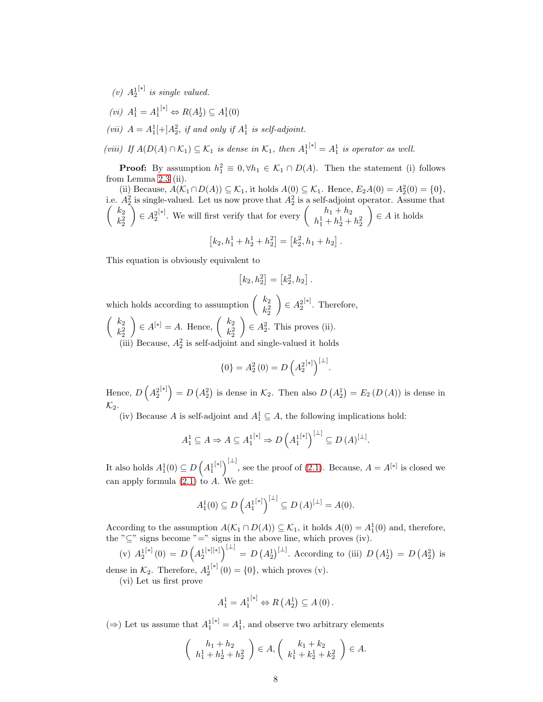- $(v) A_2^1$ [∗] is single valued.
- $(vi)$   $A_1^1 = A_1^{1[*]} \Leftrightarrow R(A_2^1) \subseteq A_1^1(0)$
- (vii)  $A = A_1^1[+]A_2^2$ , if and only if  $A_1^1$  is self-adjoint.

(viii) If  $A(D(A) \cap \mathcal{K}_1) \subseteq \mathcal{K}_1$  is dense in  $\mathcal{K}_1$ , then  $A_1^{[\ast]} = A_1^1$  is operator as well.

**Proof:** By assumption  $h_1^2 \equiv 0, \forall h_1 \in \mathcal{K}_1 \cap D(A)$ . Then the statement (i) follows from Lemma [2.3](#page-5-0) (ii).

(ii) Because,  $A(\mathcal{K}_1 \cap D(A)) \subseteq \mathcal{K}_1$ , it holds  $A(0) \subseteq \mathcal{K}_1$ . Hence,  $E_2A(0) = A_2^2(0) = \{0\}$ , i.e.  $A_2^2$  is single-valued. Let us now prove that  $A_2^2$  is a self-adjoint operator. Assume that  $\left( k_2 \right)$  $k_2^2$  $\Big) \in A_2^2$  $[∗]$ . We will first verify that for every  $\begin{pmatrix} h_1 + h_2 \\ h_1 + h_2 \end{pmatrix}$  $h_1^1 + h_2^1 + h_2^2$  $\Big) \in A$  it holds

$$
[k_2, h_1^1 + h_2^1 + h_2^2] = [k_2^2, h_1 + h_2].
$$

This equation is obviously equivalent to

$$
[k_2, h_2^2] = [k_2^2, h_2].
$$

which holds according to assumption  $\begin{pmatrix} k_2 \\ k_3 \end{pmatrix}$  $k_2^2$  $\Big) \in A_2^2$ [∗] . Therefore,  $\left( k_2 \right)$  $k_2^2$  $\Big) \in A^{[*]} = A.$  Hence,  $\Big( \begin{array}{c} k_2 \\ k_3^2 \end{array} \Big)$  $k_2^2$  $\Big) \in A_2^2$ . This proves (ii). (iii) Because,  $A_2^2$  is self-adjoint and single-valued it holds

$$
\{0\} = A_2^2(0) = D\left(A_2^{2^{[*]}}\right)^{[\perp]}
$$

.

Hence,  $D\left(A_2^2\right)$  $[{}^{*}]$  =  $D(A_2^2)$  is dense in  $\mathcal{K}_2$ . Then also  $D(A_2^1) = E_2(D(A))$  is dense in  $\mathcal{K}_2$ .

(iv) Because A is self-adjoint and  $A_1^1 \subseteq A$ , the following implications hold:

$$
A_1^1 \subseteq A \Rightarrow A \subseteq A_1^{[\ast]} \Rightarrow D\left(A_1^{[\ast]}\right)^{[\perp]} \subseteq D\left(A\right)^{[\perp]}.
$$

It also holds  $A_1^1(0) \subseteq D\left(A_1^1\right)$  $[\ast]$ <sup>[↓]</sup>, see the proof of [\(2.1\)](#page-5-1). Because,  $A = A^{[\ast]}$  is closed we can apply formula  $(2.1)$  to A. We get:

$$
A_1^1(0) \subseteq D\left(A_1^{1^{[*]}}\right)^{[{\perp}]} \subseteq D\left(A\right)^{[{\perp}]} = A(0).
$$

According to the assumption  $A(\mathcal{K}_1 \cap D(A)) \subseteq \mathcal{K}_1$ , it holds  $A(0) = A_1^1(0)$  and, therefore, the " $\subseteq$ " signs become "=" signs in the above line, which proves (iv).

 $(v) A_2^1$  $[*](0) = D\left(A_2^1\right)$  $[*][*]\]^{[\perp]} = D (A_2^1)^{[\perp]}$ . According to (iii)  $D (A_2^1) = D (A_2^2)$  is dense in  $\mathcal{K}_2$ . Therefore,  $A_2^1$  $[*](0) = \{0\}$ , which proves (v).

(vi) Let us first prove

$$
A_1^1 = A_1^{1[*]} \Leftrightarrow R(A_2^1) \subseteq A(0).
$$

(⇒) Let us assume that  $A_1^{[*]} = A_1^1$ , and observe two arbitrary elements

$$
\begin{pmatrix} h_1 + h_2 \ h_1^1 + h_2^1 + h_2^2 \end{pmatrix} \in A, \begin{pmatrix} k_1 + k_2 \ k_1^1 + k_2^1 + k_2^2 \end{pmatrix} \in A.
$$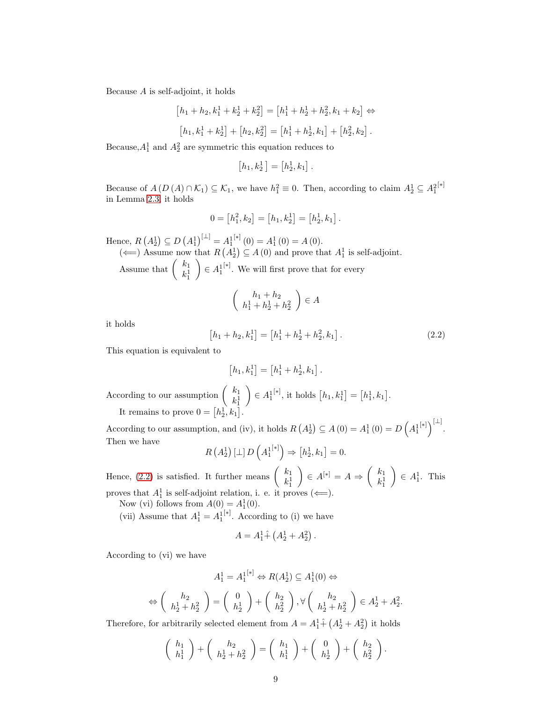Because  $A$  is self-adjoint, it holds

$$
[h_1 + h_2, k_1^1 + k_2^1 + k_2^2] = [h_1^1 + h_2^1 + h_2^2, k_1 + k_2] \Leftrightarrow
$$
  

$$
[h_1, h_1^1 + h_1^1] + [h_2, h_2^2] = [h_1^1 + h_1^1, h_2] + [h_2^2, h_2]
$$

$$
[h_1, k_1^1 + k_2^1] + [h_2, k_2^2] = [h_1^1 + h_2^1, k_1] + [h_2^2, k_2].
$$

Because,  $A_1^1$  and  $A_2^2$  are symmetric this equation reduces to

$$
[h_1,k_2^1]=[h_2^1,k_1].
$$

Because of  $A(D(A) \cap \mathcal{K}_1) \subseteq \mathcal{K}_1$ , we have  $h_1^2 \equiv 0$ . Then, according to claim  $A_2^1 \subseteq A_1^2$ [∗] in Lemma [2.3,](#page-5-0) it holds

$$
0 = [h_1^2, k_2] = [h_1, k_2^1] = [h_2^1, k_1].
$$

Hence,  $R(A_2^1) \subseteq D(A_1^1)^{[\perp]} = A_1^1$  $[*] (0) = A_1^1 (0) = A (0).$ 

 $\sqrt{ }$ 

( $\Longleftarrow$ ) Assume now that  $R(A_2^1) \subseteq A(0)$  and prove that  $A_1^1$  is self-adjoint. Assume that  $\begin{pmatrix} k_1 \\ k_2 \end{pmatrix}$  $k_1^1$  $\Big) \in A^1_1$ [∗] . We will first prove that for every

$$
\left(\begin{array}{c}h_1+h_2\\h_1^1+h_2^1+h_2^2\end{array}\right)\in A
$$

<span id="page-8-0"></span>it holds

$$
h_1 + h_2, k_1^1 = [h_1^1 + h_2^1 + h_2^2, k_1].
$$
\n(2.2)

This equation is equivalent to

$$
[h_1, k_1^1] = [h_1^1 + h_2^1, k_1].
$$

According to our assumption  $\begin{pmatrix} k_1 \\ k_2 \end{pmatrix}$  $k_1^1$  $\Big) \in A^1_1$  $[$ <sup>\*</sup><sup>1</sup>, it holds  $[h_1, k_1^1] = [h_1^1, k_1].$ It remains to prove  $0 = [h_2^1, k_1].$ 

According to our assumption, and (iv), it holds  $R(A_2^1) \subseteq A(0) = A_1^1(0) = D(A_1^1)$  $\left[\ast\right]$ ) $\left[\pm\right]$ . Then we have

$$
R\left(A_2^1\right)[\perp]D\left(A_1^{1^{[*]}}\right)\Rightarrow\left[h_2^1,k_1\right]=0.
$$

Hence, [\(2.2\)](#page-8-0) is satisfied. It further means  $\begin{pmatrix} k_1 \\ k_2 \end{pmatrix}$  $k_1^1$  $\Bigg) \in A^{[*]} = A \Rightarrow \left( \begin{array}{c} k_1 \\ k_2^1 \end{array} \right)$  $k_1^1$  $\Big) \in A_1^1$ . This proves that  $A_1^1$  is self-adjoint relation, i. e. it proves  $(\Leftarrow)$ .

Now (vi) follows from  $A(0) = A_1^1(0)$ .

(vii) Assume that  $A_1^1 = A_1^1$ [∗] . According to (i) we have

$$
A = A_1^1 \hat{+} \left( A_2^1 + A_2^2 \right).
$$

According to (vi) we have

$$
A_1^1 = A_1^{1[*]} \Leftrightarrow R(A_2^1) \subseteq A_1^1(0) \Leftrightarrow
$$
  

$$
\Leftrightarrow \left(\begin{array}{c} h_2 \\ h_2^1 + h_2^2 \end{array}\right) = \left(\begin{array}{c} 0 \\ h_2^1 \end{array}\right) + \left(\begin{array}{c} h_2 \\ h_2^2 \end{array}\right), \forall \left(\begin{array}{c} h_2 \\ h_2^1 + h_2^2 \end{array}\right) \in A_2^1 + A_2^2.
$$

Therefore, for arbitrarily selected element from  $A = A_1^1 \hat{+} (A_2^1 + A_2^2)$  it holds

$$
\left(\begin{array}{c} h_1 \\ h_1^1 \end{array}\right) + \left(\begin{array}{c} h_2 \\ h_2^1 + h_2^2 \end{array}\right) = \left(\begin{array}{c} h_1 \\ h_1^1 \end{array}\right) + \left(\begin{array}{c} 0 \\ h_2^1 \end{array}\right) + \left(\begin{array}{c} h_2 \\ h_2^2 \end{array}\right).
$$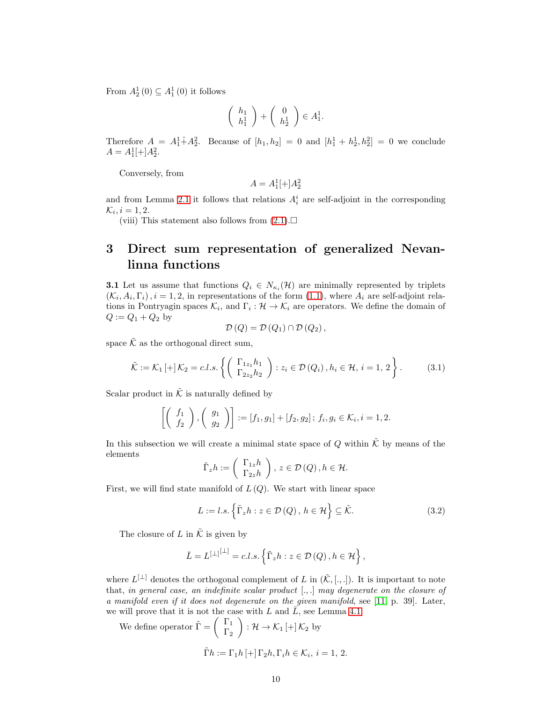From  $A_2^1(0) \subseteq A_1^1(0)$  it follows

$$
\left(\begin{array}{c} h_1 \\ h_1^1 \end{array}\right) + \left(\begin{array}{c} 0 \\ h_2^1 \end{array}\right) \in A_1^1.
$$

Therefore  $A = A_1^1 + A_2^2$ . Because of  $[h_1, h_2] = 0$  and  $[h_1^1 + h_2^1, h_2^2] = 0$  we conclude  $A = A_1^1[+]A_2^2.$ 

Conversely, from

$$
A = A_1^1[+]A_2^2
$$

and from Lemma [2.1](#page-4-1) it follows that relations  $A_i^i$  are self-adjoint in the corresponding  $\mathcal{K}_i, i = 1, 2.$ 

(viii) This statement also follows from  $(2.1)$ .

## <span id="page-9-1"></span>3 Direct sum representation of generalized Nevanlinna functions

**3.1** Let us assume that functions  $Q_i \in N_{\kappa_i}(\mathcal{H})$  are minimally represented by triplets  $(\mathcal{K}_i, A_i, \Gamma_i), i = 1, 2$ , in representations of the form [\(1.1\)](#page-2-0), where  $A_i$  are self-adjoint relations in Pontryagin spaces  $\mathcal{K}_i$ , and  $\Gamma_i : \mathcal{H} \to \mathcal{K}_i$  are operators. We define the domain of  $Q := Q_1 + Q_2$  by

<span id="page-9-2"></span>
$$
\mathcal{D}(Q) = \mathcal{D}(Q_1) \cap \mathcal{D}(Q_2),
$$

space  $\tilde{\mathcal{K}}$  as the orthogonal direct sum,

$$
\tilde{\mathcal{K}} := \mathcal{K}_1 \left[ + \right] \mathcal{K}_2 = c.l.s. \left\{ \left( \begin{array}{c} \Gamma_{1z_1} h_1 \\ \Gamma_{2z_2} h_2 \end{array} \right) : z_i \in \mathcal{D}(Q_i), h_i \in \mathcal{H}, i = 1, 2 \right\}.
$$
 (3.1)

Scalar product in  $\tilde{\mathcal{K}}$  is naturally defined by

$$
\left[\begin{pmatrix} f_1 \\ f_2 \end{pmatrix}, \begin{pmatrix} g_1 \\ g_2 \end{pmatrix}\right] := [f_1, g_1] + [f_2, g_2]; \ f_i, g_i \in \mathcal{K}_i, i = 1, 2.
$$

In this subsection we will create a minimal state space of Q within  $\tilde{\mathcal{K}}$  by means of the elements

<span id="page-9-0"></span>
$$
\tilde{\Gamma}_z h := \left( \begin{array}{c} \Gamma_{1z} h \\ \Gamma_{2z} h \end{array} \right), z \in \mathcal{D}(Q), h \in \mathcal{H}.
$$

First, we will find state manifold of  $L(Q)$ . We start with linear space

$$
L := l.s. \left\{ \tilde{\Gamma}_z h : z \in \mathcal{D}(Q), h \in \mathcal{H} \right\} \subseteq \tilde{\mathcal{K}}.
$$
 (3.2)

The closure of L in  $\tilde{\mathcal{K}}$  is given by

$$
\bar{L} = L^{[\perp]}^{[\perp]} = c.l.s. \left\{ \tilde{\Gamma}_z h : z \in \mathcal{D}(Q), h \in \mathcal{H} \right\},\
$$

where  $L^{[\perp]}$  denotes the orthogonal complement of L in  $(\tilde{\mathcal{K}}, [., .])$ . It is important to note that, in general case, an indefinite scalar product [., .] may degenerate on the closure of a manifold even if it does not degenerate on the given manifold, see [\[11,](#page-26-1) p. 39]. Later, we will prove that it is not the case with L and  $\overline{L}$ , see Lemma [4.1.](#page-15-0)

We define operator 
$$
\tilde{\Gamma} = \begin{pmatrix} \Gamma_1 \\ \Gamma_2 \end{pmatrix} : \mathcal{H} \to \mathcal{K}_1 \left[ + \right] \mathcal{K}_2
$$
 by  

$$
\tilde{\Gamma}h := \Gamma_1 h \left[ + \right] \Gamma_2 h, \Gamma_i h \in \mathcal{K}_i, i = 1, 2.
$$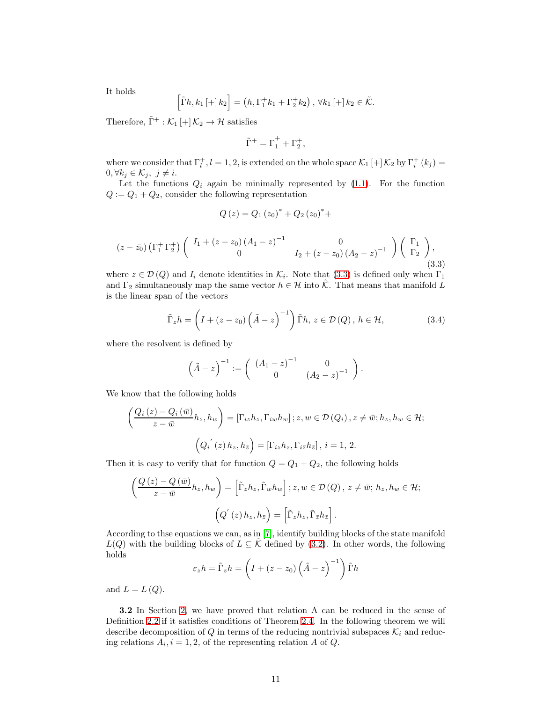It holds

$$
\left[\tilde{\Gamma}h, k_1 \left[ + \right]k_2\right] = \left(h, \Gamma_1^+ k_1 + \Gamma_2^+ k_2\right), \forall k_1 \left[ + \right]k_2 \in \tilde{\mathcal{K}}.
$$

Therefore,  $\tilde{\Gamma}^+:\mathcal{K}_1\left[+\right]\mathcal{K}_2\rightarrow\mathcal{H}$  satisfies

$$
\tilde{\Gamma}^+=\Gamma_1^++\Gamma_2^+,
$$

where we consider that  $\Gamma_l^+, l = 1, 2$ , is extended on the whole space  $\mathcal{K}_1$  [+]  $\mathcal{K}_2$  by  $\Gamma_i^+$  ( $k_j$ ) =  $0, \forall k_j \in \mathcal{K}_j, \ j \neq i.$ 

Let the functions  $Q_i$  again be minimally represented by  $(1.1)$ . For the function  $Q := Q_1 + Q_2$ , consider the following representation

$$
Q(z) = Q_1 (z_0)^* + Q_2 (z_0)^* +
$$

<span id="page-10-1"></span>
$$
(z - \bar{z_0}) \left( \Gamma_1^+ \Gamma_2^+ \right) \begin{pmatrix} I_1 + (z - z_0) (A_1 - z)^{-1} & 0 \\ 0 & I_2 + (z - z_0) (A_2 - z)^{-1} \end{pmatrix} \begin{pmatrix} \Gamma_1 \\ \Gamma_2 \end{pmatrix},
$$
\n(3.3)

where  $z \in \mathcal{D}(Q)$  and  $I_i$  denote identities in  $\mathcal{K}_i$ . Note that [\(3.3\)](#page-10-1) is defined only when  $\Gamma_1$ and  $\Gamma_2$  simultaneously map the same vector  $h \in \mathcal{H}$  into  $\tilde{\mathcal{K}}$ . That means that manifold L is the linear span of the vectors

<span id="page-10-2"></span>
$$
\tilde{\Gamma}_z h = \left( I + (z - z_0) \left( \tilde{A} - z \right)^{-1} \right) \tilde{\Gamma} h, \ z \in \mathcal{D}(Q), \ h \in \mathcal{H}, \tag{3.4}
$$

where the resolvent is defined by

$$
\left(\tilde{A} - z\right)^{-1} := \left(\begin{array}{cc} (A_1 - z)^{-1} & 0\\ 0 & (A_2 - z)^{-1} \end{array}\right).
$$

We know that the following holds

$$
\left(\frac{Q_i(z) - Q_i(\bar{w})}{z - \bar{w}} h_z, h_w\right) = \left[\Gamma_{iz} h_z, \Gamma_{iw} h_w\right]; z, w \in \mathcal{D}(Q_i), z \neq \bar{w}; h_z, h_w \in \mathcal{H};
$$

$$
\left(Q_i'(z) h_z, h_{\bar{z}}\right) = \left[\Gamma_{iz} h_z, \Gamma_{i\bar{z}} h_{\bar{z}}\right], i = 1, 2.
$$

Then it is easy to verify that for function  $Q = Q_1 + Q_2$ , the following holds

$$
\left(\frac{Q\left(z\right) - Q\left(\bar{w}\right)}{z - \bar{w}} h_z, h_w\right) = \left[\tilde{\Gamma}_z h_z, \tilde{\Gamma}_w h_w\right]; z, w \in \mathcal{D}\left(Q\right), z \neq \bar{w}; h_z, h_w \in \mathcal{H};
$$
\n
$$
\left(Q'\left(z\right) h_z, h_{\bar{z}}\right) = \left[\tilde{\Gamma}_z h_z, \tilde{\Gamma}_{\bar{z}} h_{\bar{z}}\right].
$$

According to thse equations we can, as in [\[7\]](#page-25-8), identify building blocks of the state manifold  $L(Q)$  with the building blocks of  $L \subseteq \tilde{\mathcal{K}}$  defined by [\(3.2\)](#page-9-0). In other words, the following holds

$$
\varepsilon_z h = \tilde{\Gamma}_z h = \left(I + (z - z_0) \left(\tilde{A} - z\right)^{-1}\right) \tilde{\Gamma} h
$$

and  $L = L(Q)$ .

<span id="page-10-0"></span>3.2 In Section [2,](#page-4-0) we have proved that relation A can be reduced in the sense of Definition [2.2](#page-4-2) if it satisfies conditions of Theorem [2.4.](#page-6-0) In the following theorem we will describe decomposition of Q in terms of the reducing nontrivial subspaces  $\mathcal{K}_i$  and reducing relations  $A_i$ ,  $i = 1, 2$ , of the representing relation A of Q.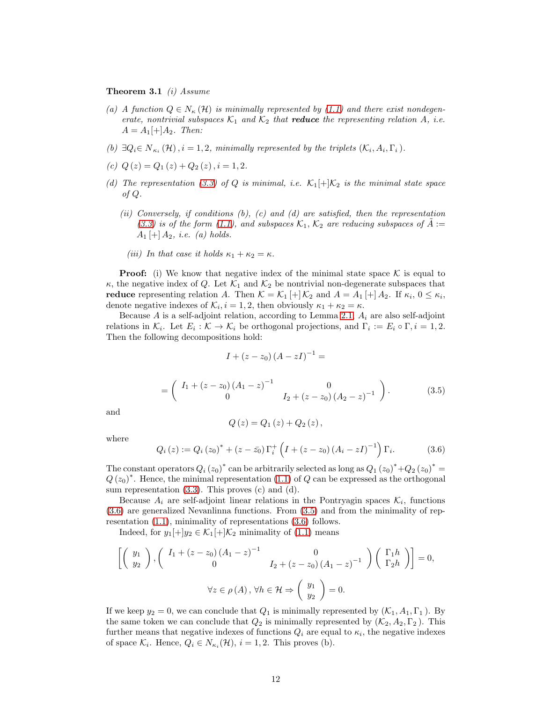Theorem 3.1 *(i)* Assume

- (a) A function  $Q \in N_{\kappa}(\mathcal{H})$  is minimally represented by [\(1.1\)](#page-2-0) and there exist nondegenerate, nontrivial subspaces  $K_1$  and  $K_2$  that **reduce** the representing relation A, i.e.  $A = A_1[+]A_2$ . Then:
- (b)  $\exists Q_i \in N_{\kappa_i}(\mathcal{H}), i = 1, 2, \text{ minimally represented by the triplets } (\mathcal{K}_i, A_i, \Gamma_i).$
- (c)  $Q(z) = Q_1(z) + Q_2(z)$ ,  $i = 1, 2$ .
- (d) The representation [\(3.3\)](#page-10-1) of Q is minimal, i.e.  $\mathcal{K}_1[+]\mathcal{K}_2$  is the minimal state space of Q.
	- (ii) Conversely, if conditions (b), (c) and (d) are satisfied, then the representation [\(3.3\)](#page-10-1) is of the form [\(1.1\)](#page-2-0), and subspaces  $\mathcal{K}_1, \mathcal{K}_2$  are reducing subspaces of  $\ddot{A}$  :=  $A_1 \, + \, A_2$ , *i.e.* (*a*) holds.
		- (iii) In that case it holds  $\kappa_1 + \kappa_2 = \kappa$ .

**Proof:** (i) We know that negative index of the minimal state space  $\mathcal K$  is equal to  $\kappa$ , the negative index of Q. Let  $\mathcal{K}_1$  and  $\mathcal{K}_2$  be nontrivial non-degenerate subspaces that reduce representing relation A. Then  $\mathcal{K} = \mathcal{K}_1 \left[ + \right] \mathcal{K}_2$  and  $A = A_1 \left[ + \right] A_2$ . If  $\kappa_i$ ,  $0 \leq \kappa_i$ , denote negative indexes of  $\mathcal{K}_i$ ,  $i = 1, 2$ , then obviously  $\kappa_1 + \kappa_2 = \kappa$ .

Because  $A$  is a self-adjoint relation, according to Lemma [2.1,](#page-4-1)  $A_i$  are also self-adjoint relations in  $\mathcal{K}_i$ . Let  $E_i : \mathcal{K} \to \mathcal{K}_i$  be orthogonal projections, and  $\Gamma_i := E_i \circ \Gamma, i = 1, 2$ . Then the following decompositions hold:

$$
I + (z - z_0) (A - zI)^{-1} =
$$

$$
= \left( \begin{array}{cc} I_1 + (z - z_0) (A_1 - z)^{-1} & 0 \\ 0 & I_2 + (z - z_0) (A_2 - z)^{-1} \end{array} \right). \tag{3.5}
$$

<span id="page-11-1"></span>and

$$
Q(z) = Q_1(z) + Q_2(z),
$$

where

<span id="page-11-0"></span>
$$
Q_i(z) := Q_i(z_0)^* + (z - \bar{z_0}) \Gamma_i^+ \left( I + (z - z_0) (A_i - zI)^{-1} \right) \Gamma_i.
$$
 (3.6)

The constant operators  $Q_i(z_0)^*$  can be arbitrarily selected as long as  $Q_1(z_0)^*+Q_2(z_0)^*$  $Q(z_0)^*$ . Hence, the minimal representation [\(1.1\)](#page-2-0) of Q can be expressed as the orthogonal sum representation [\(3.3\)](#page-10-1). This proves (c) and (d).

Because  $A_i$  are self-adjoint linear relations in the Pontryagin spaces  $\mathcal{K}_i$ , functions [\(3.6\)](#page-11-0) are generalized Nevanlinna functions. From [\(3.5\)](#page-11-1) and from the minimality of representation [\(1.1\)](#page-2-0), minimality of representations [\(3.6\)](#page-11-0) follows.

Indeed, for  $y_1[+]y_2 \in \mathcal{K}_1[+] \mathcal{K}_2$  minimality of [\(1.1\)](#page-2-0) means

$$
\begin{bmatrix}\n\left(\begin{array}{c} y_1 \\ y_2 \end{array}\right), \left(\begin{array}{cc} I_1 + (z - z_0)(A_1 - z)^{-1} & 0 \\ 0 & I_2 + (z - z_0)(A_1 - z)^{-1} \end{array}\right) \left(\begin{array}{c} \Gamma_1 h \\ \Gamma_2 h \end{array}\right) = 0, \\
\forall z \in \rho(A), \forall h \in \mathcal{H} \Rightarrow \left(\begin{array}{c} y_1 \\ y_2 \end{array}\right) = 0.
$$

If we keep  $y_2 = 0$ , we can conclude that  $Q_1$  is minimally represented by  $(K_1, A_1, \Gamma_1)$ . By the same token we can conclude that  $Q_2$  is minimally represented by  $(\mathcal{K}_2, A_2, \Gamma_2)$ . This further means that negative indexes of functions  $Q_i$  are equal to  $\kappa_i$ , the negative indexes of space  $\mathcal{K}_i$ . Hence,  $Q_i \in N_{\kappa_i}(\mathcal{H}), i = 1, 2$ . This proves (b).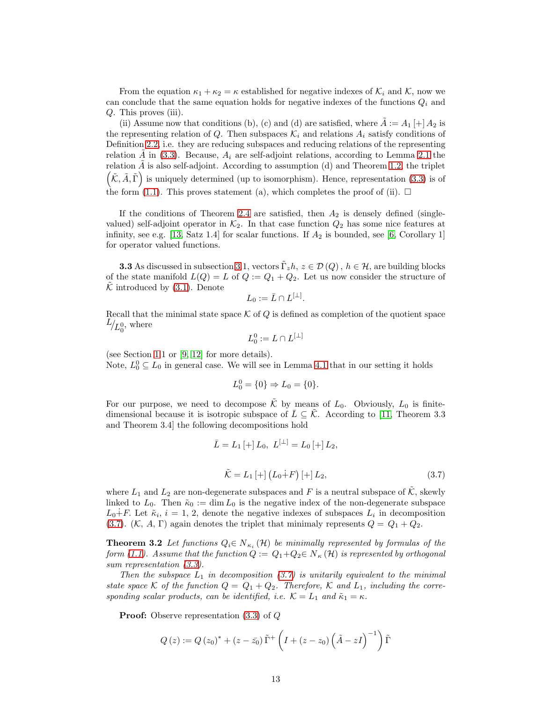From the equation  $\kappa_1 + \kappa_2 = \kappa$  established for negative indexes of  $\mathcal{K}_i$  and  $\mathcal{K}$ , now we can conclude that the same equation holds for negative indexes of the functions  $Q_i$  and Q. This proves (iii).

(ii) Assume now that conditions (b), (c) and (d) are satisfied, where  $A := A_1 \mid A_2$  is the representing relation of Q. Then subspaces  $\mathcal{K}_i$  and relations  $A_i$  satisfy conditions of Definition [2.2,](#page-4-2) i.e. they are reducing subspaces and reducing relations of the representing relation A in  $(3.3)$ . Because,  $A_i$  are self-adjoint relations, according to Lemma [2.1](#page-4-1) the relation  $A$  is also self-adjoint. According to assumption (d) and Theorem [1.2,](#page-2-1) the triplet  $(\tilde{\mathcal{K}}, \tilde{A}, \tilde{\Gamma})$  is uniquely determined (up to isomorphism). Hence, representation [\(3.3\)](#page-10-1) is of the form [\(1.1\)](#page-2-0). This proves statement (a), which completes the proof of (ii).  $\Box$ 

If the conditions of Theorem [2.4](#page-6-0) are satisfied, then  $A_2$  is densely defined (singlevalued) self-adjoint operator in  $K_2$ . In that case function  $Q_2$  has some nice features at infinity, see e.g. [\[13,](#page-26-5) Satz 1.4] for scalar functions. If  $A_2$  is bounded, see [\[6,](#page-25-9) Corollary 1] for operator valued functions.

**3.3** As discussed in subsection [3.](#page-9-1)1, vectors  $\tilde{\Gamma}_z h$ ,  $z \in \mathcal{D}(Q)$ ,  $h \in \mathcal{H}$ , are building blocks of the state manifold  $L(Q) = L$  of  $Q := Q_1 + Q_2$ . Let us now consider the structure of  $K$  introduced by  $(3.1)$ . Denote

$$
L_0:=\bar{L}\cap L^{[\perp]}.
$$

Recall that the minimal state space  $K$  of  $Q$  is defined as completion of the quotient space  $L_{L_0^0}$ , where

$$
L_0^0 := L \cap L^{[\perp]}
$$

(see Section [1.](#page-0-1)1 or [\[9,](#page-25-3) [12\]](#page-26-3) for more details). Note,  $L_0^0 \subseteq L_0$  in general case. We will see in Lemma [4.1](#page-15-0) that in our setting it holds

$$
L_0^0 = \{0\} \Rightarrow L_0 = \{0\}.
$$

For our purpose, we need to decompose  $\tilde{\mathcal{K}}$  by means of  $L_0$ . Obviously,  $L_0$  is finitedimensional because it is isotropic subspace of  $\overline{L} \subseteq \overline{K}$ . According to [\[11,](#page-26-1) Theorem 3.3 and Theorem 3.4] the following decompositions hold

$$
\bar{L} = L_1 \left[ + \right] L_0, \ L^{\left[ \perp \right]} = L_0 \left[ + \right] L_2,
$$
\n
$$
\tilde{K} = L_1 \left[ + \right] \left( L_0 + F \right) \left[ + \right] L_2,
$$
\n(3.7)

<span id="page-12-1"></span>where  $L_1$  and  $L_2$  are non-degenerate subspaces and F is a neutral subspace of  $\tilde{\mathcal{K}}$ , skewly linked to  $L_0$ . Then  $\tilde{\kappa}_0 := \dim L_0$  is the negative index of the non-degenerate subspace  $L_0 \dot{+} F$ . Let  $\tilde{\kappa}_i$ ,  $i = 1, 2$ , denote the negative indexes of subspaces  $L_i$  in decomposition [\(3.7\)](#page-12-1). (K, A, Γ) again denotes the triplet that minimaly represents  $Q = Q_1 + Q_2$ .

<span id="page-12-0"></span>**Theorem 3.2** Let functions  $Q_i \in N_{\kappa_i}(\mathcal{H})$  be minimally represented by formulas of the form [\(1.1\)](#page-2-0). Assume that the function  $Q := Q_1 + Q_2 \in N_{\kappa}(\mathcal{H})$  is represented by orthogonal sum representation  $(3.3)$ .

Then the subspace  $L_1$  in decomposition [\(3.7\)](#page-12-1) is unitarily equivalent to the minimal state space K of the function  $Q = Q_1 + Q_2$ . Therefore, K and  $L_1$ , including the corresponding scalar products, can be identified, i.e.  $\mathcal{K} = L_1$  and  $\tilde{\kappa}_1 = \kappa$ .

Proof: Observe representation [\(3.3\)](#page-10-1) of Q

$$
Q(z) := Q(z_0)^* + (z - \bar{z_0}) \tilde{\Gamma}^+ \left( I + (z - z_0) \left( \tilde{A} - zI \right)^{-1} \right) \tilde{\Gamma}
$$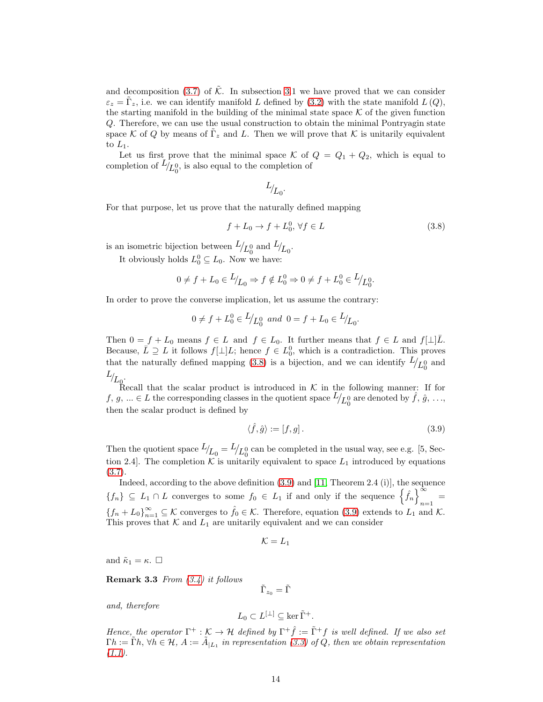and decomposition  $(3.7)$  of K. In subsection [3.](#page-9-1)1 we have proved that we can consider  $\varepsilon_z = \tilde{\Gamma}_z$ , i.e. we can identify manifold L defined by [\(3.2\)](#page-9-0) with the state manifold  $L(Q)$ , the starting manifold in the building of the minimal state space  $K$  of the given function Q. Therefore, we can use the usual construction to obtain the minimal Pontryagin state space K of Q by means of  $\tilde{\Gamma}_z$  and L. Then we will prove that K is unitarily equivalent to  $L_1$ .

Let us first prove that the minimal space K of  $Q = Q_1 + Q_2$ , which is equal to completion of  $L_{L_0^0}$ , is also equal to the completion of

<span id="page-13-1"></span>
$$
L_{\!f_{L_0}}.
$$

For that purpose, let us prove that the naturally defined mapping

$$
f + L_0 \to f + L_0^0, \forall f \in L \tag{3.8}
$$

is an isometric bijection between  $L_{\langle L_0^0 \rangle}$  and  $L_{\langle L_0^0 \rangle}$ .

It obviously holds  $L_0^0 \subseteq L_0$ . Now we have:

$$
0 \neq f + L_0 \in L/L_0 \Rightarrow f \notin L_0^0 \Rightarrow 0 \neq f + L_0^0 \in L/L_0^0.
$$

In order to prove the converse implication, let us assume the contrary:

$$
0 \neq f + L_0^0 \in L/_{L_0^0}
$$
 and  $0 = f + L_0 \in L/_{L_0}$ .

Then  $0 = f + L_0$  means  $f \in L$  and  $f \in L_0$ . It further means that  $f \in L$  and  $f[\perp]\overline{L}$ . Because,  $\overline{L} \supseteq L$  it follows  $f[\perp]L$ ; hence  $f \in L_0^0$ , which is a contradiction. This proves that the naturally defined mapping [\(3.8\)](#page-13-1) is a bijection, and we can identify  $L/_{L_0^0}$  and  $L_{L_{\mathbb{Q}}}.$ 

Recall that the scalar product is introduced in  $\mathcal K$  in the following manner: If for  $f, g, \ldots \in L$  the corresponding classes in the quotient space  $L/L_0^0$  are denoted by  $\hat{f}, \hat{g}, \ldots$ then the scalar product is defined by

<span id="page-13-2"></span>
$$
\langle \hat{f}, \hat{g} \rangle := [f, g]. \tag{3.9}
$$

Then the quotient space  $L_{L_0} = L_{L_0}$  can be completed in the usual way, see e.g. [5, Section 2.4. The completion K is unitarily equivalent to space  $L_1$  introduced by equations [\(3.7\)](#page-12-1).

Indeed, according to the above definition [\(3.9\)](#page-13-2) and [\[11,](#page-26-1) Theorem 2.4 (i)], the sequence  ${f_n} \subseteq L_1 \cap L$  converges to some  $f_0 \in L_1$  if and only if the sequence  $\left\{\hat{f}_n\right\}_{n=1}^{\infty}$  $=$ <sub>n=1</sub>  ${f_n + L_0}_{n=1}^{\infty} \subseteq \mathcal{K}$  converges to  $\hat{f}_0 \in \mathcal{K}$ . Therefore, equation [\(3.9\)](#page-13-2) extends to  $L_1$  and  $\mathcal{K}$ . This proves that  $K$  and  $L_1$  are unitarily equivalent and we can consider

$$
\mathcal{K}=L_1
$$

and  $\tilde{\kappa}_1 = \kappa$ .  $\Box$ 

**Remark 3.3** From  $(3.4)$  it follows

 $\tilde{\Gamma}_{z_0}=\tilde{\Gamma}$ 

and, therefore

$$
L_0 \subset L^{[\perp]} \subseteq \ker \tilde{\Gamma}^+.
$$

<span id="page-13-0"></span>Hence, the operator  $\Gamma^+ : \mathcal{K} \to \mathcal{H}$  defined by  $\Gamma^+ \hat{f} := \tilde{\Gamma}^+ f$  is well defined. If we also set  $\Gamma h:=\tilde{\Gamma}h, \forall h\in\mathcal{H}, A:=\tilde{A}_{|L_1}$  in representation [\(3.3\)](#page-10-1) of Q, then we obtain representation  $(1.1).$  $(1.1).$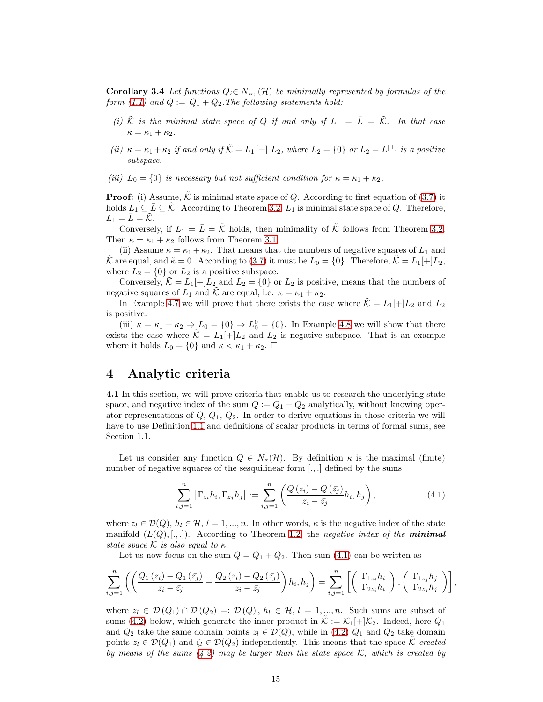**Corollary 3.4** Let functions  $Q_i \in N_{\kappa_i}(\mathcal{H})$  be minimally represented by formulas of the form [\(1.1\)](#page-2-0) and  $Q := Q_1 + Q_2$ . The following statements hold:

- (i)  $\tilde{\mathcal{K}}$  is the minimal state space of Q if and only if  $L_1 = \overline{L} = \tilde{\mathcal{K}}$ . In that case  $\kappa = \kappa_1 + \kappa_2.$
- (ii)  $\kappa = \kappa_1 + \kappa_2$  if and only if  $\tilde{\mathcal{K}} = L_1[+] L_2$ , where  $L_2 = \{0\}$  or  $L_2 = L^{[\perp]}$  is a positive subspace.
- (iii)  $L_0 = \{0\}$  is necessary but not sufficient condition for  $\kappa = \kappa_1 + \kappa_2$ .

**Proof:** (i) Assume,  $\hat{\mathcal{K}}$  is minimal state space of Q. According to first equation of [\(3.7\)](#page-12-1) it holds  $L_1 \subseteq \overline{L} \subseteq \overline{K}$ . According to Theorem [3.2,](#page-12-0)  $L_1$  is minimal state space of Q. Therefore,  $L_1 = \overline{L} = \overline{\mathcal{K}}$ .

Conversely, if  $L_1 = \overline{L} = \tilde{\mathcal{K}}$  holds, then minimality of  $\tilde{\mathcal{K}}$  follows from Theorem [3.2.](#page-12-0) Then  $\kappa = \kappa_1 + \kappa_2$  follows from Theorem [3.1.](#page-10-0)

(ii) Assume  $\kappa = \kappa_1 + \kappa_2$ . That means that the numbers of negative squares of  $L_1$  and  $\tilde{\mathcal{K}}$  are equal, and  $\tilde{\kappa} = 0$ . According to [\(3.7\)](#page-12-1) it must be  $L_0 = \{0\}$ . Therefore,  $\mathcal{K} = L_1[+]L_2$ , where  $L_2 = \{0\}$  or  $L_2$  is a positive subspace.

Conversely,  $\tilde{\mathcal{K}} = L_1[+]L_2$  and  $L_2 = \{0\}$  or  $L_2$  is positive, means that the numbers of negative squares of  $L_1$  and  $\tilde{\mathcal{K}}$  are equal, i.e.  $\kappa = \kappa_1 + \kappa_2$ .

In Example [4.7](#page-20-0) we will prove that there exists the case where  $\tilde{\mathcal{K}} = L_1[+]L_2$  and  $L_2$ is positive.

(iii)  $\kappa = \kappa_1 + \kappa_2 \Rightarrow L_0 = \{0\} \Rightarrow L_0^0 = \{0\}.$  In Example [4.8](#page-21-0) we will show that there exists the case where  $\tilde{\mathcal{K}} = L_1[+]L_2$  and  $L_2$  is negative subspace. That is an example where it holds  $L_0 = \{0\}$  and  $\kappa < \kappa_1 + \kappa_2$ .  $\Box$ 

#### 4 Analytic criteria

4.1 In this section, we will prove criteria that enable us to research the underlying state space, and negative index of the sum  $Q := Q_1 + Q_2$  analytically, without knowing operator representations of  $Q, Q_1, Q_2$ . In order to derive equations in those criteria we will have to use Definition [1.1](#page-0-0) and definitions of scalar products in terms of formal sums, see Section 1.1.

Let us consider any function  $Q \in N_{\kappa}(\mathcal{H})$ . By definition  $\kappa$  is the maximal (finite) number of negative squares of the sesquilinear form [...] defined by the sums

<span id="page-14-0"></span>
$$
\sum_{i,j=1}^{n} \left[ \Gamma_{z_i} h_i, \Gamma_{z_j} h_j \right] := \sum_{i,j=1}^{n} \left( \frac{Q(z_i) - Q(\bar{z}_j)}{z_i - \bar{z}_j} h_i, h_j \right), \tag{4.1}
$$

where  $z_l \in \mathcal{D}(Q)$ ,  $h_l \in \mathcal{H}, l = 1, ..., n$ . In other words,  $\kappa$  is the negative index of the state manifold  $(L(Q), \ldots)$ . According to Theorem [1.2,](#page-2-1) the negative index of the **minimal** state space K is also equal to  $\kappa$ .

Let us now focus on the sum  $Q = Q_1 + Q_2$ . Then sum [\(4.1\)](#page-14-0) can be written as

$$
\sum_{i,j=1}^n \left( \left( \frac{Q_1(z_i) - Q_1(\bar{z}_j)}{z_i - \bar{z}_j} + \frac{Q_2(z_i) - Q_2(\bar{z}_j)}{z_i - \bar{z}_j} \right) h_i, h_j \right) = \sum_{i,j=1}^n \left[ \left( \begin{array}{c} \Gamma_{1z_i} h_i \\ \Gamma_{2z_i} h_i \end{array} \right), \left( \begin{array}{c} \Gamma_{1z_j} h_j \\ \Gamma_{2z_j} h_j \end{array} \right) \right],
$$

where  $z_l \in \mathcal{D}(Q_1) \cap \mathcal{D}(Q_2) =: \mathcal{D}(Q)$ ,  $h_l \in \mathcal{H}, l = 1, ..., n$ . Such sums are subset of sums [\(4.2\)](#page-15-1) below, which generate the inner product in  $\mathcal{K} := \mathcal{K}_1[+\mathcal{K}_2]$ . Indeed, here  $Q_1$ and  $Q_2$  take the same domain points  $z_l \in \mathcal{D}(Q)$ , while in [\(4.2\)](#page-15-1)  $Q_1$  and  $Q_2$  take domain points  $z_l \in \mathcal{D}(Q_1)$  and  $\zeta_l \in \mathcal{D}(Q_2)$  independently. This means that the space K created by means of the sums  $(4.2)$  may be larger than the state space K, which is created by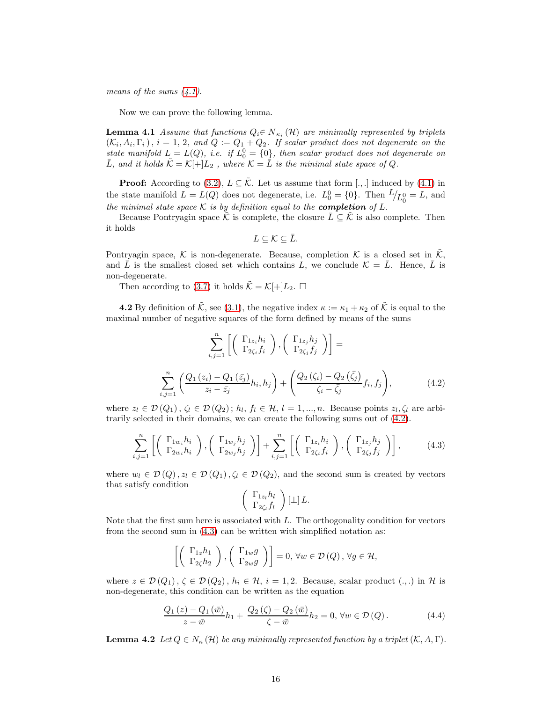means of the sums  $(4.1)$ .

<span id="page-15-0"></span>Now we can prove the following lemma.

**Lemma 4.1** Assume that functions  $Q_i \in N_{\kappa_i}(\mathcal{H})$  are minimally represented by triplets  $(\mathcal{K}_i, A_i, \Gamma_i), i = 1, 2, and Q := Q_1 + Q_2$ . If scalar product does not degenerate on the state manifold  $L = L(Q)$ , i.e. if  $L_0^0 = \{0\}$ , then scalar product does not degenerate on  $\bar{L}$ , and it holds  $\tilde{\mathcal{K}} = \mathcal{K}[\pm]L_2$ , where  $\mathcal{K} = \bar{L}$  is the minimal state space of Q.

**Proof:** According to [\(3.2\)](#page-9-0),  $L \subseteq \tilde{\mathcal{K}}$ . Let us assume that form [.,.] induced by [\(4.1\)](#page-14-0) in the state manifold  $L = L(Q)$  does not degenerate, i.e.  $L_0^0 = \{0\}$ . Then  $L/L_0^0 = L$ , and the minimal state space  $K$  is by definition equal to the **completion** of  $L$ .

Because Pontryagin space K is complete, the closure  $L \subseteq K$  is also complete. Then it holds

$$
L\subseteq\mathcal{K}\subseteq\bar{L}.
$$

Pontryagin space, K is non-degenerate. Because, completion K is a closed set in  $\tilde{\mathcal{K}}$ . and  $\bar{L}$  is the smallest closed set which contains L, we conclude  $\mathcal{K} = \bar{L}$ . Hence,  $\bar{L}$  is non-degenerate.

Then according to [\(3.7\)](#page-12-1) it holds  $\tilde{\mathcal{K}} = \mathcal{K}[\pm]L_2$ .  $\Box$ 

**4.2** By definition of  $\tilde{\mathcal{K}}$ , see [\(3.1\)](#page-9-2), the negative index  $\kappa := \kappa_1 + \kappa_2$  of  $\tilde{\mathcal{K}}$  is equal to the maximal number of negative squares of the form defined by means of the sums

$$
\sum_{i,j=1}^{n} \left[ \begin{pmatrix} \Gamma_{1z_i} h_i \\ \Gamma_{2\zeta_i} f_i \end{pmatrix}, \begin{pmatrix} \Gamma_{1z_j} h_j \\ \Gamma_{2\zeta_j} f_j \end{pmatrix} \right] =
$$
\n
$$
\sum_{i,j=1}^{n} \left( \frac{Q_1(z_i) - Q_1(\bar{z}_j)}{z_i - \bar{z}_j} h_i, h_j \right) + \left( \frac{Q_2(\zeta_i) - Q_2(\bar{\zeta}_j)}{\zeta_i - \bar{\zeta}_j} f_i, f_j \right), \tag{4.2}
$$

<span id="page-15-1"></span>where  $z_l \in \mathcal{D}(Q_1)$ ,  $\zeta_l \in \mathcal{D}(Q_2)$ ;  $h_l$ ,  $f_l \in \mathcal{H}$ ,  $l = 1, ..., n$ . Because points  $z_l$ ,  $\zeta_l$  are arbitrarily selected in their domains, we can create the following sums out of [\(4.2\)](#page-15-1).

$$
\sum_{i,j=1}^{n} \left[ \left( \begin{array}{c} \Gamma_{1w_i} h_i \\ \Gamma_{2w_i} h_i \end{array} \right), \left( \begin{array}{c} \Gamma_{1w_j} h_j \\ \Gamma_{2w_j} h_j \end{array} \right) \right] + \sum_{i,j=1}^{n} \left[ \left( \begin{array}{c} \Gamma_{1z_i} h_i \\ \Gamma_{2\zeta_i} f_i \end{array} \right), \left( \begin{array}{c} \Gamma_{1z_j} h_j \\ \Gamma_{2\zeta_j} f_j \end{array} \right) \right],
$$
(4.3)

where  $w_l \in \mathcal{D}(Q)$ ,  $z_l \in \mathcal{D}(Q_1)$ ,  $\zeta_l \in \mathcal{D}(Q_2)$ , and the second sum is created by vectors that satisfy condition

<span id="page-15-3"></span><span id="page-15-2"></span>
$$
\left(\begin{array}{c}\Gamma_{1z_l}h_l\\ \Gamma_{2\zeta_l}f_l\end{array}\right)[\perp]L.
$$

Note that the first sum here is associated with L. The orthogonality condition for vectors from the second sum in [\(4.3\)](#page-15-2) can be written with simplified notation as:

$$
\left[\left(\begin{array}{c} \Gamma_{1z}h_1\\ \Gamma_{2\zeta}h_2 \end{array}\right), \left(\begin{array}{c} \Gamma_{1w}g\\ \Gamma_{2w}g \end{array}\right)\right] = 0, \,\forall w \in \mathcal{D}(Q), \,\forall g \in \mathcal{H},
$$

where  $z \in \mathcal{D}(Q_1)$ ,  $\zeta \in \mathcal{D}(Q_2)$ ,  $h_i \in \mathcal{H}$ ,  $i = 1, 2$ . Because, scalar product  $(.,.)$  in H is non-degenerate, this condition can be written as the equation

$$
\frac{Q_1(z) - Q_1(\bar{w})}{z - \bar{w}} h_1 + \frac{Q_2(\zeta) - Q_2(\bar{w})}{\zeta - \bar{w}} h_2 = 0, \forall w \in \mathcal{D}(Q).
$$
\n(4.4)

<span id="page-15-4"></span>**Lemma 4.2** Let  $Q \in N_{\kappa}(\mathcal{H})$  be any minimally represented function by a triplet  $(K, A, \Gamma)$ .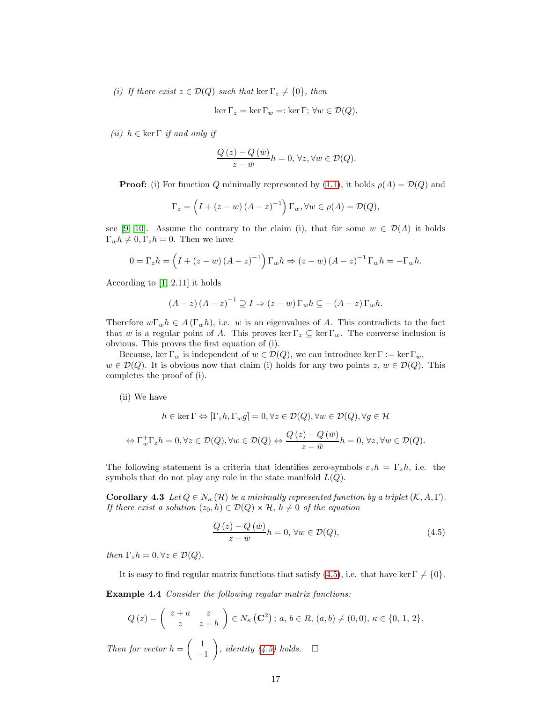(i) If there exist  $z \in \mathcal{D}(Q)$  such that ker  $\Gamma_z \neq \{0\}$ , then

$$
\ker \Gamma_z = \ker \Gamma_w =: \ker \Gamma; \,\forall w \in \mathcal{D}(Q).
$$

(ii)  $h \in \text{ker } \Gamma$  if and only if

$$
\frac{Q(z) - Q(\bar{w})}{z - \bar{w}}h = 0, \forall z, \forall w \in \mathcal{D}(Q).
$$

**Proof:** (i) For function Q minimally represented by [\(1.1\)](#page-2-0), it holds  $\rho(A) = \mathcal{D}(Q)$  and

$$
\Gamma_z = \left(I + (z - w)(A - z)^{-1}\right)\Gamma_w, \forall w \in \rho(A) = \mathcal{D}(Q),
$$

see [\[9,](#page-25-3) [10\]](#page-26-2). Assume the contrary to the claim (i), that for some  $w \in \mathcal{D}(A)$  it holds  $\Gamma_w h \neq 0, \Gamma_z h = 0$ . Then we have

$$
0 = \Gamma_z h = \left(I + (z - w)(A - z)^{-1}\right) \Gamma_w h \Rightarrow (z - w)(A - z)^{-1} \Gamma_w h = -\Gamma_w h.
$$

According to [\[1,](#page-25-0) 2.11] it holds

$$
(A-z)(A-z)^{-1} \supseteq I \Rightarrow (z-w)\Gamma_w h \subseteq -(A-z)\Gamma_w h.
$$

Therefore  $w\Gamma_w h \in A(\Gamma_w h)$ , i.e. w is an eigenvalues of A. This contradicts to the fact that w is a regular point of A. This proves ker  $\Gamma_z \subseteq \ker \Gamma_w$ . The converse inclusion is obvious. This proves the first equation of (i).

Because, ker  $\Gamma_w$  is independent of  $w \in \mathcal{D}(Q)$ , we can introduce ker  $\Gamma := \ker \Gamma_w$ ,  $w \in \mathcal{D}(Q)$ . It is obvious now that claim (i) holds for any two points  $z, w \in \mathcal{D}(Q)$ . This completes the proof of (i).

(ii) We have

$$
h \in \ker \Gamma \Leftrightarrow [\Gamma_z h, \Gamma_w g] = 0, \forall z \in \mathcal{D}(Q), \forall w \in \mathcal{D}(Q), \forall g \in \mathcal{H}
$$
  

$$
\Leftrightarrow \Gamma_w^+ \Gamma_z h = 0, \forall z \in \mathcal{D}(Q), \forall w \in \mathcal{D}(Q) \Leftrightarrow \frac{Q(z) - Q(\bar{w})}{z - \bar{w}} h = 0, \forall z, \forall w \in \mathcal{D}(Q).
$$

<span id="page-16-1"></span>The following statement is a criteria that identifies zero-symbols  $\varepsilon_z h = \Gamma_z h$ , i.e. the symbols that do not play any role in the state manifold  $L(Q)$ .

**Corollary 4.3** Let  $Q \in N_{\kappa}(\mathcal{H})$  be a minimally represented function by a triplet  $(\mathcal{K}, A, \Gamma)$ . If there exist a solution  $(z_0, h) \in \mathcal{D}(Q) \times \mathcal{H}$ ,  $h \neq 0$  of the equation

<span id="page-16-0"></span>
$$
\frac{Q(z) - Q(\bar{w})}{z - \bar{w}}h = 0, \forall w \in \mathcal{D}(Q),
$$
\n(4.5)

then  $\Gamma_z h = 0, \forall z \in \mathcal{D}(Q)$ .

It is easy to find regular matrix functions that satisfy [\(4.5\)](#page-16-0), i.e. that have ker  $\Gamma \neq \{0\}$ .

Example 4.4 Consider the following regular matrix functions:

$$
Q(z) = \begin{pmatrix} z+a & z \\ z & z+b \end{pmatrix} \in N_{\kappa}(\mathbf{C}^2); a, b \in R, (a, b) \neq (0, 0), \kappa \in \{0, 1, 2\}.
$$

Then for vector  $h = \begin{pmatrix} 1 & 1 \\ 1 & 1 \end{pmatrix}$ −1 ), identity [\(4.5\)](#page-16-0) holds.  $\square$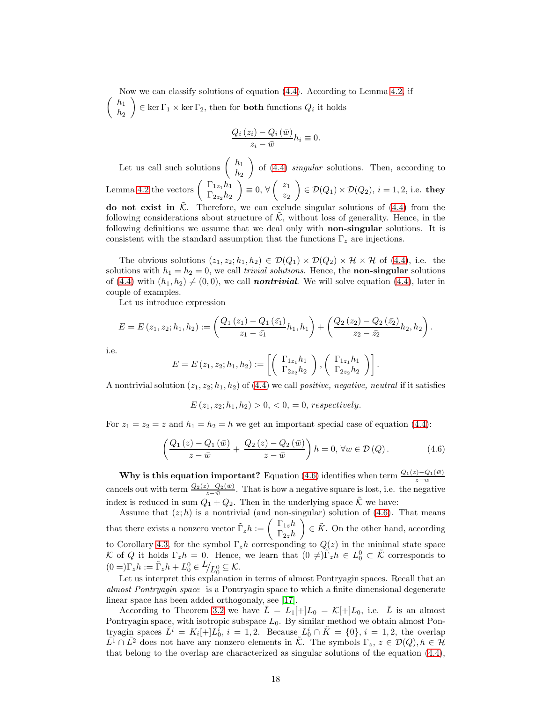Now we can classify solutions of equation [\(4.4\)](#page-15-3). According to Lemma [4.2,](#page-15-4) if  $\int h_1$  $h_2$  $\Big) \in \ker \Gamma_1 \times \ker \Gamma_2$ , then for **both** functions  $Q_i$  it holds

$$
\frac{Q_i(z_i) - Q_i(\bar{w})}{z_i - \bar{w}} h_i \equiv 0.
$$

Let us call such solutions  $\begin{pmatrix} h_1 \\ h_2 \end{pmatrix}$  $h_2$ of  $(4.4)$  *singular* solutions. Then, according to Lemma [4.2](#page-15-4) the vectors  $\begin{pmatrix} \Gamma_{1z_1} h_1 \\ \Gamma_{1z_1} h_2 \end{pmatrix}$  $\Gamma_{2z_2} h_2$  $= 0, \forall \begin{pmatrix} z_1 \\ z_2 \end{pmatrix}$  $\overline{z}_2$  $\Bigg(\in \mathcal{D}(Q_1)\times \mathcal{D}(Q_2),\, i=1,2,\, \text{i.e. } \textbf{they}$ do not exist in  $\tilde{\mathcal{K}}$ . Therefore, we can exclude singular solutions of [\(4.4\)](#page-15-3) from the following considerations about structure of  $K$ , without loss of generality. Hence, in the following definitions we assume that we deal only with non-singular solutions. It is consistent with the standard assumption that the functions  $\Gamma_z$  are injections.

The obvious solutions  $(z_1, z_2; h_1, h_2) \in \mathcal{D}(Q_1) \times \mathcal{D}(Q_2) \times \mathcal{H} \times \mathcal{H}$  of [\(4.4\)](#page-15-3), i.e. the solutions with  $h_1 = h_2 = 0$ , we call *trivial solutions*. Hence, the **non-singular** solutions of [\(4.4\)](#page-15-3) with  $(h_1, h_2) \neq (0, 0)$ , we call **nontrivial**. We will solve equation (4.4), later in couple of examples.

Let us introduce expression

$$
E = E(z_1, z_2; h_1, h_2) := \left(\frac{Q_1(z_1) - Q_1(z_1)}{z_1 - \bar{z_1}} h_1, h_1\right) + \left(\frac{Q_2(z_2) - Q_2(z_2)}{z_2 - \bar{z_2}} h_2, h_2\right).
$$

i.e.

$$
E = E(z_1, z_2; h_1, h_2) := \left[ \left( \begin{array}{c} \Gamma_{1z_1} h_1 \\ \Gamma_{2z_2} h_2 \end{array} \right), \left( \begin{array}{c} \Gamma_{1z_1} h_1 \\ \Gamma_{2z_2} h_2 \end{array} \right) \right].
$$

A nontrivial solution  $(z_1, z_2; h_1, h_2)$  of  $(4.4)$  we call *positive, negative, neutral* if it satisfies

<span id="page-17-0"></span> $E(z_1, z_2; h_1, h_2) > 0, \langle 0, 0 \rangle = 0$ , respectively.

For  $z_1 = z_2 = z$  and  $h_1 = h_2 = h$  we get an important special case of equation [\(4.4\)](#page-15-3):

$$
\left(\frac{Q_1(z) - Q_1(\bar{w})}{z - \bar{w}} + \frac{Q_2(z) - Q_2(\bar{w})}{z - \bar{w}}\right)h = 0, \forall w \in \mathcal{D}(Q).
$$
\n(4.6)

Why is this equation important? Equation [\(4.6\)](#page-17-0) identifies when term  $\frac{Q_1(z)-Q_1(\bar{w})}{z-\bar{w}}$ cancels out with term  $\frac{Q_2(z)-Q_2(\bar{w})}{z-\bar{w}}$ . That is how a negative square is lost, i.e. the negative index is reduced in sum  $Q_1 + Q_2$ . Then in the underlying space  $\tilde{\mathcal{K}}$  we have:

Assume that  $(z; h)$  is a nontrivial (and non-singular) solution of  $(4.6)$ . That means that there exists a nonzero vector  $\tilde{\Gamma}_z h := \begin{pmatrix} \Gamma_{1z}h \\ \Gamma_{1z}h \end{pmatrix}$  $\Gamma_{2z}h$  $\Big) \in \tilde{K}$ . On the other hand, according to Corollary [4.3,](#page-16-1) for the symbol  $\Gamma_z h$  corresponding to  $Q(z)$  in the minimal state space K of Q it holds  $\Gamma_z h = 0$ . Hence, we learn that  $(0 \neq) \tilde{\Gamma}_z h \in L_0^0 \subset \tilde{\mathcal{K}}$  corresponds to  $(0 =)\Gamma_z h := \tilde{\Gamma}_z h + L_0^0 \in L_{\text{L}_0^0} \subseteq \mathcal{K}.$ 

Let us interpret this explanation in terms of almost Pontryagin spaces. Recall that an almost Pontryagin space is a Pontryagin space to which a finite dimensional degenerate linear space has been added orthogonaly, see [\[17\]](#page-26-7).

According to Theorem [3.2](#page-12-0) we have  $\overline{L} = L_1[+]L_0 = \mathcal{K}[+]L_0$ , i.e.  $\overline{L}$  is an almost Pontryagin space, with isotropic subspace  $L_0$ . By similar method we obtain almost Pontryagin spaces  $\bar{L}^i = K_i[+]\bar{L}_0^i$ ,  $i = 1, 2$ . Because  $\bar{L}_0^i \cap \tilde{K} = \{0\}$ ,  $i = 1, 2$ , the overlap  $L^1 \cap L^2$  does not have any nonzero elements in  $\mathcal{K}$ . The symbols  $\Gamma_z$ ,  $z \in \mathcal{D}(Q)$ ,  $h \in \mathcal{H}$ that belong to the overlap are characterized as singular solutions of the equation [\(4.4\)](#page-15-3),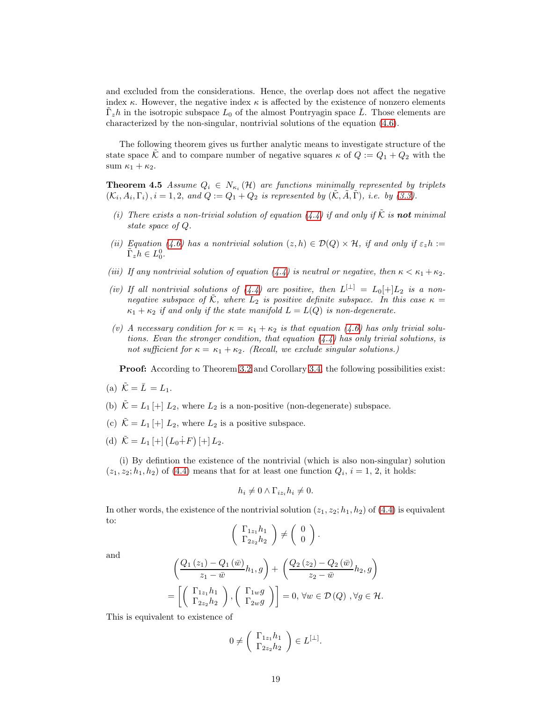and excluded from the considerations. Hence, the overlap does not affect the negative index  $\kappa$ . However, the negative index  $\kappa$  is affected by the existence of nonzero elements  $\tilde{\Gamma}_z h$  in the isotropic subspace  $L_0$  of the almost Pontryagin space  $\overline{L}$ . Those elements are characterized by the non-singular, nontrivial solutions of the equation [\(4.6\)](#page-17-0).

<span id="page-18-0"></span>The following theorem gives us further analytic means to investigate structure of the state space  $\hat{\mathcal{K}}$  and to compare number of negative squares  $\kappa$  of  $Q := Q_1 + Q_2$  with the sum  $\kappa_1 + \kappa_2$ .

**Theorem 4.5** Assume  $Q_i \in N_{\kappa_i}(\mathcal{H})$  are functions minimally represented by triplets  $(\mathcal{K}_i, A_i, \Gamma_i), i = 1, 2, \text{ and } Q := Q_1 + Q_2$  is represented by  $(\tilde{\mathcal{K}}, \tilde{A}, \tilde{\Gamma}), i.e.$  by [\(3.3\)](#page-10-1).

- (i) There exists a non-trivial solution of equation [\(4.4\)](#page-15-3) if and only if  $\tilde{\mathcal{K}}$  is **not** minimal state space of Q.
- (ii) Equation [\(4.6\)](#page-17-0) has a nontrivial solution  $(z, h) \in \mathcal{D}(Q) \times \mathcal{H}$ , if and only if  $\varepsilon_z h$  :=  $\tilde{\Gamma}_z h \in L_0^0.$
- (iii) If any nontrivial solution of equation [\(4.4\)](#page-15-3) is neutral or negative, then  $\kappa < \kappa_1 + \kappa_2$ .
- (iv) If all nontrivial solutions of  $(4.4)$  are positive, then  $L^{[\perp]} = L_0[+]L_2$  is a nonnegative subspace of  $\tilde{\mathcal{K}}$ , where  $L_2$  is positive definite subspace. In this case  $\kappa =$  $\kappa_1 + \kappa_2$  if and only if the state manifold  $L = L(Q)$  is non-degenerate.
- (v) A necessary condition for  $\kappa = \kappa_1 + \kappa_2$  is that equation [\(4.6\)](#page-17-0) has only trivial solutions. Evan the stronger condition, that equation  $(4.4)$  has only trivial solutions, is not sufficient for  $\kappa = \kappa_1 + \kappa_2$ . (Recall, we exclude singular solutions.)

**Proof:** According to Theorem [3.2](#page-12-0) and Corollary [3.4,](#page-13-0) the following possibilities exist:

- (a)  $\tilde{\mathcal{K}} = \overline{L} = L_1$ .
- (b)  $\tilde{\mathcal{K}} = L_1 \begin{bmatrix} + \end{bmatrix} L_2$ , where  $L_2$  is a non-positive (non-degenerate) subspace.
- (c)  $\tilde{\mathcal{K}} = L_1 + L_2$ , where  $L_2$  is a positive subspace.
- (d)  $\tilde{\mathcal{K}} = L_1 \left[ + \right] \left( L_0 \dot{+} F \right) \left[ + \right] L_2.$

(i) By defintion the existence of the nontrivial (which is also non-singular) solution  $(z_1, z_2; h_1, h_2)$  of [\(4.4\)](#page-15-3) means that for at least one function  $Q_i$ ,  $i = 1, 2$ , it holds:

$$
h_i \neq 0 \wedge \Gamma_{iz_i} h_i \neq 0.
$$

In other words, the existence of the nontrivial solution  $(z_1, z_2; h_1, h_2)$  of  $(4.4)$  is equivalent to:  $\Delta$ 

$$
\left(\begin{array}{c}\Gamma_{1z_1}h_1\\\Gamma_{2z_2}h_2\end{array}\right)\neq \left(\begin{array}{c}0\\0\end{array}\right)
$$

.

and

$$
\left(\frac{Q_1(z_1) - Q_1(\bar{w})}{z_1 - \bar{w}} h_1, g\right) + \left(\frac{Q_2(z_2) - Q_2(\bar{w})}{z_2 - \bar{w}} h_2, g\right)
$$

$$
= \left[\left(\begin{array}{c} \Gamma_{1z_1} h_1\\ \Gamma_{2z_2} h_2 \end{array}\right), \left(\begin{array}{c} \Gamma_{1w} g\\ \Gamma_{2w} g \end{array}\right)\right] = 0, \forall w \in \mathcal{D}(Q), \forall g \in \mathcal{H}.
$$

This is equivalent to existence of

$$
0 \neq \left( \begin{array}{c} \Gamma_{1z_1} h_1 \\ \Gamma_{2z_2} h_2 \end{array} \right) \in L^{[\perp]}.
$$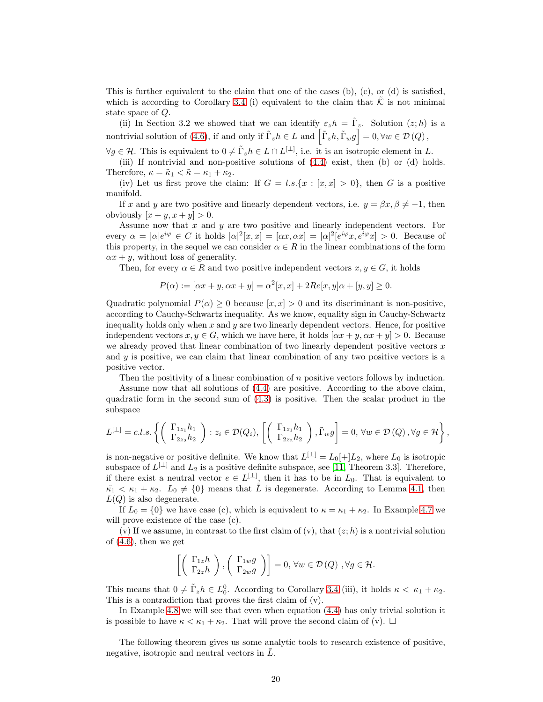This is further equivalent to the claim that one of the cases (b), (c), or (d) is satisfied, which is according to Corollary [3.4](#page-13-0) (i) equivalent to the claim that  $K$  is not minimal state space of Q.

(ii) In Section 3.2 we showed that we can identify  $\varepsilon_z h = \tilde{\Gamma}_z$ . Solution  $(z;h)$  is a nontrivial solution of [\(4.6\)](#page-17-0), if and only if  $\tilde{\Gamma}_z h \in L$  and  $\left[ \tilde{\Gamma}_z h, \tilde{\Gamma}_w g \right] = 0, \forall w \in \mathcal{D}(Q)$ ,

 $\forall g \in \mathcal{H}$ . This is equivalent to  $0 \neq \tilde{\Gamma}_z h \in L \cap L^{[\perp]}$ , i.e. it is an isotropic element in L.

(iii) If nontrivial and non-positive solutions of [\(4.4\)](#page-15-3) exist, then (b) or (d) holds. Therefore,  $\kappa = \tilde{\kappa}_1 < \tilde{\kappa} = \kappa_1 + \kappa_2$ .

(iv) Let us first prove the claim: If  $G = l.s.\{x : [x, x] > 0\}$ , then G is a positive manifold.

If x and y are two positive and linearly dependent vectors, i.e.  $y = \beta x, \beta \neq -1$ , then obviously  $[x + y, x + y] > 0$ .

Assume now that x and  $y$  are two positive and linearly independent vectors. For every  $\alpha = |\alpha|e^{i\varphi} \in C$  it holds  $|\alpha|^2[x,x] = [\alpha x, \alpha x] = |\alpha|^2[e^{i\varphi}x, e^{i\varphi}x] > 0$ . Because of this property, in the sequel we can consider  $\alpha \in R$  in the linear combinations of the form  $\alpha x + y$ , without loss of generality.

Then, for every  $\alpha \in R$  and two positive independent vectors  $x, y \in G$ , it holds

$$
P(\alpha) := [\alpha x + y, \alpha x + y] = \alpha^{2} [x, x] + 2Re[x, y]\alpha + [y, y] \ge 0.
$$

Quadratic polynomial  $P(\alpha) > 0$  because  $[x, x] > 0$  and its discriminant is non-positive, according to Cauchy-Schwartz inequality. As we know, equality sign in Cauchy-Schwartz inequality holds only when  $x$  and  $y$  are two linearly dependent vectors. Hence, for positive independent vectors  $x, y \in G$ , which we have here, it holds  $[\alpha x + y, \alpha x + y] > 0$ . Because we already proved that linear combination of two linearly dependent positive vectors  $x$ and  $y$  is positive, we can claim that linear combination of any two positive vectors is a positive vector.

Then the positivity of a linear combination of  $n$  positive vectors follows by induction.

Assume now that all solutions of [\(4.4\)](#page-15-3) are positive. According to the above claim, quadratic form in the second sum of [\(4.3\)](#page-15-2) is positive. Then the scalar product in the subspace

$$
L^{[\perp]} = c.l.s.\left\{ \left(\begin{array}{c} \Gamma_{1z_1}h_1 \\ \Gamma_{2z_2}h_2 \end{array}\right) : z_i \in \mathcal{D}(Q_i), \left[\left(\begin{array}{c} \Gamma_{1z_1}h_1 \\ \Gamma_{2z_2}h_2 \end{array}\right), \tilde{\Gamma}_w g\right] = 0, \forall w \in \mathcal{D}(Q), \forall g \in \mathcal{H} \right\},\
$$

is non-negative or positive definite. We know that  $L^{[\perp]} = L_0[+]L_2$ , where  $L_0$  is isotropic subspace of  $L^{[\perp]}$  and  $L_2$  is a positive definite subspace, see [\[11,](#page-26-1) Theorem 3.3]. Therefore, if there exist a neutral vector  $e \in L^{[\perp]}$ , then it has to be in  $L_0$ . That is equivalent to  $\tilde{\kappa}_1 < \kappa_1 + \kappa_2$ .  $L_0 \neq \{0\}$  means that  $\overline{L}$  is degenerate. According to Lemma [4.1,](#page-15-0) then  $L(Q)$  is also degenerate.

If  $L_0 = \{0\}$  we have case (c), which is equivalent to  $\kappa = \kappa_1 + \kappa_2$ . In Example [4.7](#page-20-0) we will prove existence of the case (c).

(v) If we assume, in contrast to the first claim of (v), that  $(z; h)$  is a nontrivial solution of [\(4.6\)](#page-17-0), then we get

$$
\left[\left(\begin{array}{c} \Gamma_{1z}h\\ \Gamma_{2z}h \end{array}\right), \left(\begin{array}{c} \Gamma_{1w}g\\ \Gamma_{2w}g \end{array}\right)\right]=0, \forall w\in \mathcal{D}(Q), \forall g\in \mathcal{H}.
$$

This means that  $0 \neq \tilde{\Gamma}_z h \in L_0^0$ . According to Corollary [3.4](#page-13-0) (iii), it holds  $\kappa < \kappa_1 + \kappa_2$ . This is a contradiction that proves the first claim of (v).

In Example [4.8](#page-21-0) we will see that even when equation [\(4.4\)](#page-15-3) has only trivial solution it is possible to have  $\kappa < \kappa_1 + \kappa_2$ . That will prove the second claim of (v).  $\Box$ 

<span id="page-19-0"></span>The following theorem gives us some analytic tools to research existence of positive, negative, isotropic and neutral vectors in  $L$ .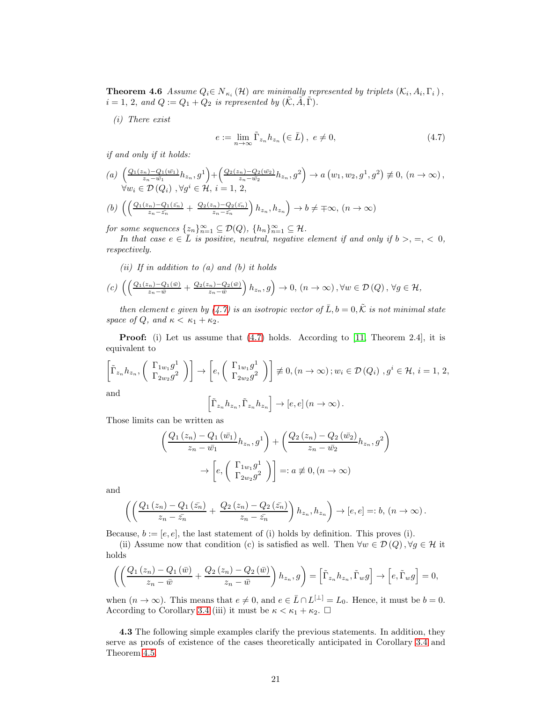**Theorem 4.6** Assume  $Q_i \in N_{\kappa_i}(\mathcal{H})$  are minimally represented by triplets  $(\mathcal{K}_i, A_i, \Gamma_i)$ ,  $i = 1, 2, and Q := Q_1 + Q_2$  is represented by  $(\tilde{\mathcal{K}}, \tilde{A}, \tilde{\Gamma})$ .

<span id="page-20-1"></span>(i) There exist

$$
e := \lim_{n \to \infty} \tilde{\Gamma}_{z_n} h_{z_n} \left( \in \bar{L} \right), \ e \neq 0,
$$
\n
$$
(4.7)
$$

if and only if it holds:

(a) 
$$
\left(\frac{Q_1(z_n) - Q_1(\bar{w_1})}{z_n - \bar{w_1}} h_{z_n}, g^1\right) + \left(\frac{Q_2(z_n) - Q_2(\bar{w_2})}{z_n - \bar{w_2}} h_{z_n}, g^2\right) \to a\left(w_1, w_2, g^1, g^2\right) \neq 0, \ (n \to \infty),
$$
  
\n
$$
\forall w_i \in \mathcal{D}(Q_i), \forall g^i \in \mathcal{H}, i = 1, 2,
$$

(b) 
$$
\left(\left(\frac{Q_1(z_n)-Q_1(\bar{z_n})}{z_n-\bar{z_n}}+\frac{Q_2(z_n)-Q_2(\bar{z_n})}{z_n-\bar{z_n}}\right)h_{z_n},h_{z_n}\right)\to b\neq \mp\infty, (n\to\infty)
$$

for some sequences  $\{z_n\}_{n=1}^{\infty} \subseteq \mathcal{D}(Q)$ ,  $\{h_n\}_{n=1}^{\infty} \subseteq \mathcal{H}$ .

In that case  $e \in \overline{L}$  is positive, neutral, negative element if and only if  $b > 0, \leq 0$ , respectively.

(ii) If in addition to  $(a)$  and  $(b)$  it holds

$$
(c)\,\left(\left(\frac{Q_1(z_n)-Q_1(\bar{w})}{z_n-\bar{w}}+\frac{Q_2(z_n)-Q_2(\bar{w})}{z_n-\bar{w}}\right)h_{z_n},g\right)\to 0,\,(n\to\infty),\forall w\in\mathcal{D}\left(Q\right),\,\forall g\in\mathcal{H},
$$

then element e given by [\(4.7\)](#page-20-1) is an isotropic vector of  $\overline{L}$ ,  $b = 0$ ,  $\tilde{\mathcal{K}}$  is not minimal state space of Q, and  $\kappa < \kappa_1 + \kappa_2$ .

**Proof:** (i) Let us assume that  $(4.7)$  holds. According to [\[11,](#page-26-1) Theorem 2.4], it is equivalent to

$$
\left[\tilde{\Gamma}_{z_n} h_{z_n}, \left(\begin{array}{c} \Gamma_{1w_1} g^1\\ \Gamma_{2w_2} g^2 \end{array}\right)\right] \to \left[e, \left(\begin{array}{c} \Gamma_{1w_1} g^1\\ \Gamma_{2w_2} g^2 \end{array}\right)\right] \not\equiv 0, (n \to \infty) \,; w_i \in \mathcal{D}(Q_i) \, , g^i \in \mathcal{H}, i = 1, 2,
$$
and

and

$$
\left[\tilde{\Gamma}_{z_n}h_{z_n}, \tilde{\Gamma}_{z_n}h_{z_n}\right] \to [e, e] \left(n \to \infty\right).
$$

Those limits can be written as

$$
\left(\frac{Q_1(z_n) - Q_1(\bar{w}_1)}{z_n - \bar{w}_1} h_{z_n}, g^1\right) + \left(\frac{Q_2(z_n) - Q_2(\bar{w}_2)}{z_n - \bar{w}_2} h_{z_n}, g^2\right)
$$

$$
\rightarrow \left[e, \left(\begin{array}{c} \Gamma_{1w_1} g^1\\ \Gamma_{2w_2} g^2 \end{array}\right)\right] =: a \neq 0, (n \rightarrow \infty)
$$

and

$$
\left(\left(\frac{Q_1(z_n)-Q_1(\bar{z_n})}{z_n-\bar{z_n}}+\frac{Q_2(z_n)-Q_2(\bar{z_n})}{z_n-\bar{z_n}}\right)h_{z_n},h_{z_n}\right)\to [e,e]=:b,(n\to\infty).
$$

Because,  $b := [e, e]$ , the last statement of (i) holds by definition. This proves (i).

(ii) Assume now that condition (c) is satisfied as well. Then  $\forall w \in \mathcal{D}(Q)$ ,  $\forall q \in \mathcal{H}$  it holds

$$
\left(\left(\frac{Q_1(z_n)-Q_1(\bar{w})}{z_n-\bar{w}}+\frac{Q_2(z_n)-Q_2(\bar{w})}{z_n-\bar{w}}\right)h_{z_n},g\right)=\left[\tilde{\Gamma}_{z_n}h_{z_n},\tilde{\Gamma}_{w}g\right]\to\left[e,\tilde{\Gamma}_{w}g\right]=0,
$$

when  $(n \to \infty)$ . This means that  $e \neq 0$ , and  $e \in \overline{L} \cap L^{[\perp]} = L_0$ . Hence, it must be  $b = 0$ . According to Corollary [3.4](#page-13-0) (iii) it must be  $\kappa < \kappa_1 + \kappa_2$ .  $\Box$ 

<span id="page-20-0"></span>4.3 The following simple examples clarify the previous statements. In addition, they serve as proofs of existence of the cases theoretically anticipated in Corollary [3.4](#page-13-0) and Theorem [4.5.](#page-18-0)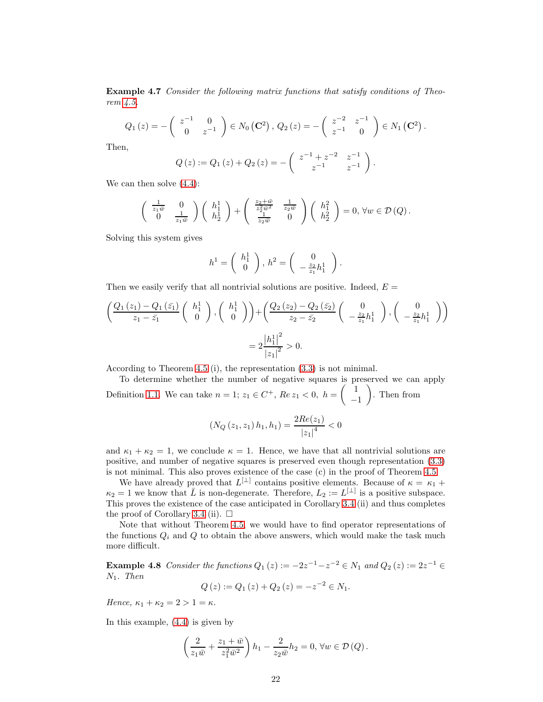Example 4.7 Consider the following matrix functions that satisfy conditions of Theorem [4.5.](#page-18-0)

$$
Q_1(z) = -\begin{pmatrix} z^{-1} & 0 \ 0 & z^{-1} \end{pmatrix} \in N_0(\mathbf{C}^2), Q_2(z) = -\begin{pmatrix} z^{-2} & z^{-1} \ z^{-1} & 0 \end{pmatrix} \in N_1(\mathbf{C}^2).
$$

Then,

$$
Q(z) := Q_1(z) + Q_2(z) = -\left(\begin{array}{cc} z^{-1} + z^{-2} & z^{-1} \\ z^{-1} & z^{-1} \end{array}\right).
$$

We can then solve  $(4.4)$ :

$$
\begin{pmatrix} \frac{1}{z_1\bar{w}} & 0\\ 0 & \frac{1}{z_1\bar{w}} \end{pmatrix}\begin{pmatrix} h_1^1\\ h_2^1 \end{pmatrix} + \begin{pmatrix} \frac{z_2+\bar{w}}{z_2^2\bar{w}^2} & \frac{1}{z_2\bar{w}}\\ \frac{1}{z_2\bar{w}} & 0 \end{pmatrix}\begin{pmatrix} h_1^2\\ h_2^2 \end{pmatrix} = 0, \forall w \in \mathcal{D}(Q).
$$

Solving this system gives

$$
h^{1} = \left(\begin{array}{c} h_{1}^{1} \\ 0 \end{array}\right), h^{2} = \left(\begin{array}{c} 0 \\ -\frac{z_{2}}{z_{1}}h_{1}^{1} \end{array}\right).
$$

Then we easily verify that all nontrivial solutions are positive. Indeed,  $E =$ 

$$
\left(\frac{Q_1(z_1) - Q_1(\bar{z_1})}{z_1 - \bar{z_1}} \left(\begin{array}{c} h_1^1 \\ 0 \end{array}\right), \left(\begin{array}{c} h_1^1 \\ 0 \end{array}\right)\right) + \left(\frac{Q_2(z_2) - Q_2(\bar{z_2})}{z_2 - \bar{z_2}} \left(\begin{array}{c} 0 \\ -\frac{z_2}{z_1}h_1^1 \end{array}\right), \left(\begin{array}{c} 0 \\ -\frac{z_2}{z_1}h_1^1 \end{array}\right)\right)
$$

$$
= 2\frac{|h_1^1|^2}{|z_1|^2} > 0.
$$

According to Theorem [4.5](#page-18-0) (i), the representation [\(3.3\)](#page-10-1) is not minimal.

To determine whether the number of negative squares is preserved we can apply Definition [1.1.](#page-0-0) We can take  $n = 1$ ;  $z_1 \in C^+$ ,  $Re z_1 < 0$ ,  $h = \begin{pmatrix} 1 \\ -1 \end{pmatrix}$ −1 . Then from

$$
(N_Q(z_1, z_1) h_1, h_1) = \frac{2Re(z_1)}{|z_1|^4} < 0
$$

and  $\kappa_1 + \kappa_2 = 1$ , we conclude  $\kappa = 1$ . Hence, we have that all nontrivial solutions are positive, and number of negative squares is preserved even though representation [\(3.3\)](#page-10-1) is not minimal. This also proves existence of the case (c) in the proof of Theorem [4.5.](#page-18-0)

We have already proved that  $L^{[\perp]}$  contains positive elements. Because of  $\kappa = \kappa_1 +$  $\kappa_2 = 1$  we know that  $\overline{L}$  is non-degenerate. Therefore,  $L_2 := L^{[\perp]}$  is a positive subspace. This proves the existence of the case anticipated in Corollary [3.4](#page-13-0) (ii) and thus completes the proof of Corollary [3.4](#page-13-0) (ii).  $\Box$ 

Note that without Theorem [4.5,](#page-18-0) we would have to find operator representations of the functions  $Q_i$  and  $Q$  to obtain the above answers, which would make the task much more difficult.

<span id="page-21-0"></span>**Example 4.8** Consider the functions  $Q_1(z) := -2z^{-1} - z^{-2} \in N_1$  and  $Q_2(z) := 2z^{-1} \in$  $N_1$ . Then

$$
Q(z) := Q_1(z) + Q_2(z) = -z^{-2} \in N_1.
$$

Hence,  $\kappa_1 + \kappa_2 = 2 > 1 = \kappa$ .

In this example, [\(4.4\)](#page-15-3) is given by

$$
\left(\frac{2}{z_1\bar{w}}+\frac{z_1+\bar{w}}{z_1^2\bar{w}^2}\right)h_1-\frac{2}{z_2\bar{w}}h_2=0, \,\forall w\in\mathcal{D}\left(Q\right).
$$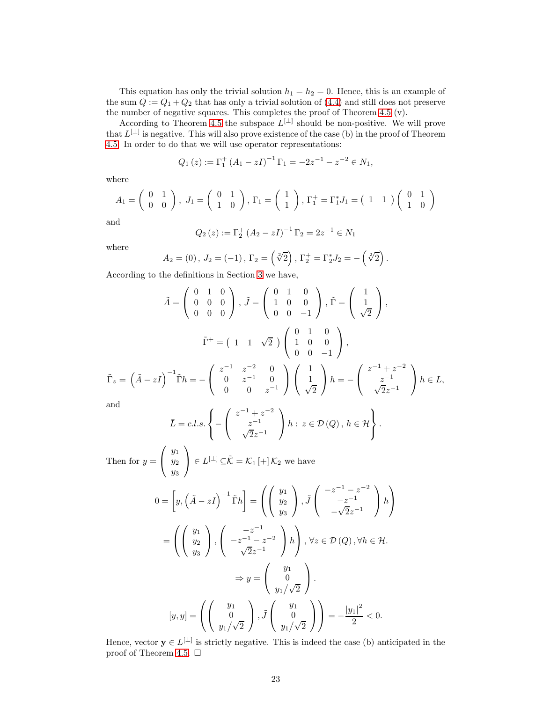This equation has only the trivial solution  $h_1 = h_2 = 0$ . Hence, this is an example of the sum  $Q := Q_1 + Q_2$  that has only a trivial solution of [\(4.4\)](#page-15-3) and still does not preserve the number of negative squares. This completes the proof of Theorem [4.5](#page-18-0) (v).

According to Theorem [4.5](#page-18-0) the subspace  $L^{[\perp]}$  should be non-positive. We will prove that  $L^{[\perp]}$  is negative. This will also prove existence of the case (b) in the proof of Theorem [4.5.](#page-18-0) In order to do that we will use operator representations:

$$
Q_1(z) := \Gamma_1^+ (A_1 - zI)^{-1} \Gamma_1 = -2z^{-1} - z^{-2} \in N_1,
$$

where

$$
A_1 = \begin{pmatrix} 0 & 1 \\ 0 & 0 \end{pmatrix}, J_1 = \begin{pmatrix} 0 & 1 \\ 1 & 0 \end{pmatrix}, \Gamma_1 = \begin{pmatrix} 1 \\ 1 \end{pmatrix}, \Gamma_1^+ = \Gamma_1^* J_1 = \begin{pmatrix} 1 & 1 \end{pmatrix} \begin{pmatrix} 0 & 1 \\ 1 & 0 \end{pmatrix}
$$

and

$$
Q_2(z) := \Gamma_2^+ (A_2 - zI)^{-1} \Gamma_2 = 2z^{-1} \in N_1
$$

where

$$
A_2 = (0), J_2 = (-1), \Gamma_2 = (\sqrt[2]{2}), \Gamma_2^+ = \Gamma_2^* J_2 = -(\sqrt[2]{2}).
$$

According to the definitions in Section [3](#page-9-1) we have,

$$
\tilde{A} = \begin{pmatrix} 0 & 1 & 0 \\ 0 & 0 & 0 \\ 0 & 0 & 0 \end{pmatrix}, \tilde{J} = \begin{pmatrix} 0 & 1 & 0 \\ 1 & 0 & 0 \\ 0 & 0 & -1 \end{pmatrix}, \tilde{\Gamma} = \begin{pmatrix} 1 \\ 1 \\ \sqrt{2} \end{pmatrix},
$$

$$
\tilde{\Gamma}^{+} = \begin{pmatrix} 1 & 1 & \sqrt{2} \end{pmatrix} \begin{pmatrix} 0 & 1 & 0 \\ 1 & 0 & 0 \\ 0 & 0 & -1 \end{pmatrix},
$$

$$
\tilde{\Gamma}_{z} = \left( \tilde{A} - zI \right)^{-1} \tilde{\Gamma} h = -\begin{pmatrix} z^{-1} & z^{-2} & 0 \\ 0 & z^{-1} & 0 \\ 0 & 0 & z^{-1} \end{pmatrix} \begin{pmatrix} 1 \\ 1 \\ \sqrt{2} \end{pmatrix} h = -\begin{pmatrix} z^{-1} + z^{-2} \\ z^{-1} \\ \sqrt{2}z^{-1} \end{pmatrix} h \in L,
$$
and

and

$$
\bar{L} = c.l.s.\left\{ -\left(\begin{array}{c} z^{-1} + z^{-2} \\ z^{-1} \\ \sqrt{2}z^{-1} \end{array}\right) h : z \in \mathcal{D}(Q), h \in \mathcal{H} \right\}.
$$

Then for  $y =$  $\sqrt{ }$  $\mathcal{L}$  $y_1$  $y_2$  $y_3$  $\setminus$  $\Big] \in L^{[\perp]} \subseteq \tilde{\mathcal{K}} = \mathcal{K}_1 \left[ + \right] \mathcal{K}_2$  we have

$$
0 = \left[y, \left(\tilde{A} - zI\right)^{-1} \tilde{\Gamma}h\right] = \left(\left(\begin{array}{c} y_1 \\ y_2 \\ y_3 \end{array}\right), \tilde{J}\left(\begin{array}{c} -z^{-1} - z^{-2} \\ -z^{-1} \\ -\sqrt{2}z^{-1} \end{array}\right)h\right)
$$

$$
= \left(\left(\begin{array}{c} y_1 \\ y_2 \\ y_3 \end{array}\right), \left(\begin{array}{c} -z^{-1} \\ -z^{-1} - z^{-2} \\ \sqrt{2}z^{-1} \end{array}\right)h\right), \forall z \in \mathcal{D}(Q), \forall h \in \mathcal{H}.
$$

$$
\Rightarrow y = \left(\begin{array}{c} y_1 \\ 0 \\ y_1/\sqrt{2} \end{array}\right).
$$

$$
[y, y] = \left(\left(\begin{array}{c} y_1 \\ 0 \\ y_1/\sqrt{2} \end{array}\right), \tilde{J}\left(\begin{array}{c} y_1 \\ 0 \\ y_1/\sqrt{2} \end{array}\right)\right) = -\frac{|y_1|^2}{2} < 0.
$$

Hence, vector  $y \in L^{[\perp]}$  is strictly negative. This is indeed the case (b) anticipated in the proof of Theorem [4.5.](#page-18-0)  $\Box$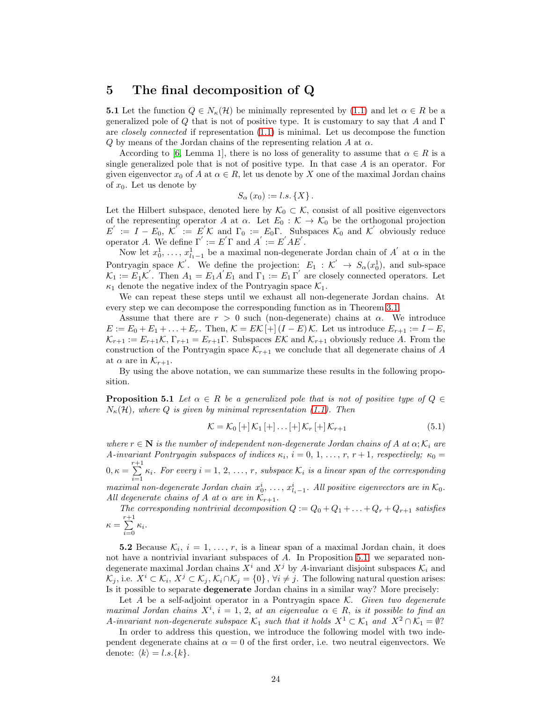### <span id="page-23-2"></span>5 The final decomposition of Q

**5.1** Let the function  $Q \in N_{\kappa}(\mathcal{H})$  be minimally represented by [\(1.1\)](#page-2-0) and let  $\alpha \in R$  be a generalized pole of Q that is not of positive type. It is customary to say that A and  $\Gamma$ are closely connected if representation [\(1.1\)](#page-2-0) is minimal. Let us decompose the function  $Q$  by means of the Jordan chains of the representing relation  $A$  at  $\alpha$ .

According to [\[6,](#page-25-9) Lemma 1], there is no loss of generality to assume that  $\alpha \in R$  is a single generalized pole that is not of positive type. In that case  $A$  is an operator. For given eigenvector  $x_0$  of A at  $\alpha \in R$ , let us denote by X one of the maximal Jordan chains of  $x_0$ . Let us denote by

$$
S_{\alpha}(x_0) := l.s.\{X\}.
$$

Let the Hilbert subspace, denoted here by  $\mathcal{K}_0 \subset \mathcal{K}$ , consist of all positive eigenvectors of the representing operator A at  $\alpha$ . Let  $E_0 : \mathcal{K} \to \mathcal{K}_0$  be the orthogonal projection  $E' := I - E_0, \,\mathcal{K}' := E' \mathcal{K}$  and  $\Gamma_0 := E_0 \Gamma$ . Subspaces  $\mathcal{K}_0$  and  $\mathcal{K}'$  obviously reduce operator A. We define  $\Gamma' := E' \Gamma$  and  $A' := E' A E'$ .

Now let  $x_0^1, \ldots, x_{l_1-1}^1$  be a maximal non-degenerate Jordan chain of  $A'$  at  $\alpha$  in the Pontryagin space  $\mathcal{K}'$ . We define the projection:  $E_1 : \mathcal{K}' \to S_\alpha(x_0^1)$ , and sub-space  $\mathcal{K}_1 := E_1 \mathcal{K}'$ . Then  $A_1 = E_1 A' E_1$  and  $\Gamma_1 := E_1 \Gamma'$  are closely connected operators. Let  $\kappa_1$  denote the negative index of the Pontryagin space  $\mathcal{K}_1$ .

We can repeat these steps until we exhaust all non-degenerate Jordan chains. At every step we can decompose the corresponding function as in Theorem [3.1.](#page-10-0)

Assume that there are  $r > 0$  such (non-degenerate) chains at  $\alpha$ . We introduce  $E := E_0 + E_1 + \ldots + E_r$ . Then,  $\mathcal{K} = E\mathcal{K}[\pm (I - E)\mathcal{K}]$ . Let us introduce  $E_{r+1} := I - E$ ,  $\mathcal{K}_{r+1} := E_{r+1}\mathcal{K}, \Gamma_{r+1} = E_{r+1}\Gamma.$  Subspaces  $E\mathcal{K}$  and  $\mathcal{K}_{r+1}$  obviously reduce A. From the construction of the Pontryagin space  $\mathcal{K}_{r+1}$  we conclude that all degenerate chains of A at  $\alpha$  are in  $\mathcal{K}_{r+1}$ .

<span id="page-23-0"></span>By using the above notation, we can summarize these results in the following proposition.

**Proposition 5.1** Let  $\alpha \in R$  be a generalized pole that is not of positive type of  $Q \in$  $N_{\kappa}(\mathcal{H})$ , where Q is given by minimal representation [\(1.1\)](#page-2-0). Then

<span id="page-23-3"></span>
$$
\mathcal{K} = \mathcal{K}_0 \left[ + \right] \mathcal{K}_1 \left[ + \right] \dots \left[ + \right] \mathcal{K}_r \left[ + \right] \mathcal{K}_{r+1} \tag{5.1}
$$

where  $r \in \mathbb{N}$  is the number of independent non-degenerate Jordan chains of A at  $\alpha$ ;  $\mathcal{K}_i$  are A-invariant Pontryagin subspaces of indices  $\kappa_i$ ,  $i = 0, 1, \ldots, r, r + 1$ , respectively;  $\kappa_0 =$  $0, \kappa = \sum^{r+1}$  $\sum_{i=1}^{\infty} \kappa_i$ . For every  $i = 1, 2, ..., r$ , subspace  $\mathcal{K}_i$  is a linear span of the corresponding maximal non-degenerate Jordan chain  $x_0^i, \ldots, x_{l_i-1}^i$ . All positive eigenvectors are in  $\mathcal{K}_0$ . All degenerate chains of A at  $\alpha$  are in  $\mathcal{K}_{r+1}$ .

The corresponding nontrivial decomposition  $Q := Q_0 + Q_1 + \ldots + Q_r + Q_{r+1}$  satisfies  $\kappa = \sum^{r+1}$ 

 $\sum_{i=0}$   $\kappa_i$ .

**5.2** Because  $\mathcal{K}_i$ ,  $i = 1, \ldots, r$ , is a linear span of a maximal Jordan chain, it does not have a nontrivial invariant subspaces of A. In Proposition [5.1,](#page-23-0) we separated nondegenerate maximal Jordan chains  $X^i$  and  $X^j$  by A-invariant disjoint subspaces  $\mathcal{K}_i$  and  $\mathcal{K}_j$ , i.e.  $X^i \subset \mathcal{K}_i$ ,  $X^j \subset \mathcal{K}_j$ ,  $\mathcal{K}_i \cap \mathcal{K}_j = \{0\}$ ,  $\forall i \neq j$ . The following natural question arises: Is it possible to separate degenerate Jordan chains in a similar way? More precisely:

Let  $A$  be a self-adjoint operator in a Pontryagin space  $K$ . Given two degenerate maximal Jordan chains  $X^i$ ,  $i = 1, 2$ , at an eigenvalue  $\alpha \in R$ , is it possible to find an A-invariant non-degenerate subspace  $\mathcal{K}_1$  such that it holds  $X^1 \subset \mathcal{K}_1$  and  $X^2 \cap \mathcal{K}_1 = \emptyset$ ?

<span id="page-23-1"></span>In order to address this question, we introduce the following model with two independent degenerate chains at  $\alpha = 0$  of the first order, i.e. two neutral eigenvectors. We denote:  $\langle k \rangle = l.s.\{k\}.$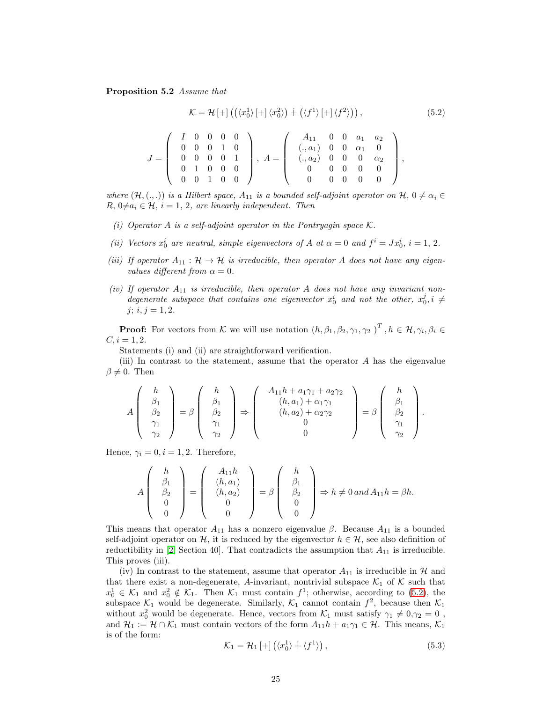<span id="page-24-0"></span>Proposition 5.2 Assume that

$$
\mathcal{K} = \mathcal{H}\left[+\right] \left( \left(\langle x_0^1 \rangle \left[+\right] \langle x_0^2 \rangle\right) + \left(\langle f^1 \rangle \left[+\right] \langle f^2 \rangle\right) \right),\tag{5.2}
$$

|                 |  | $I \quad 0 \quad 0 \quad 0 \quad 0$ |                   |  |       | $A_{11}$ 0 0 $a_1$ $a_2$       |                  |                                 |  |  |
|-----------------|--|-------------------------------------|-------------------|--|-------|--------------------------------|------------------|---------------------------------|--|--|
|                 |  | $0 \quad 0$                         | $1\quad 0$        |  |       | $(.,a_1)$ 0 0 $\alpha_1$ 0     |                  |                                 |  |  |
| $J =$ 0 0 0 0 1 |  |                                     |                   |  | $A =$ | $(.,a_2) \ 0 \ 0 \ 0 \alpha_2$ |                  |                                 |  |  |
|                 |  | $\overline{1}$                      | $0\quad 0\quad 0$ |  |       |                                | $\theta$         | $\hspace{0.1em} 0$              |  |  |
|                 |  | $\overline{0}$                      | 1 0 0             |  |       |                                | $\left( \right)$ | $\begin{matrix} 0 \end{matrix}$ |  |  |

where  $(\mathcal{H},\dotsc)$  is a Hilbert space,  $A_{11}$  is a bounded self-adjoint operator on  $\mathcal{H}, 0 \neq \alpha_i \in$  $R, 0 \neq a_i \in \mathcal{H}, i = 1, 2$ , are linearly independent. Then

- (i) Operator A is a self-adjoint operator in the Pontryagin space  $\mathcal K$ .
- (ii) Vectors  $x_0^i$  are neutral, simple eigenvectors of A at  $\alpha = 0$  and  $f^i = Jx_0^i$ ,  $i = 1, 2$ .
- (iii) If operator  $A_{11} : \mathcal{H} \to \mathcal{H}$  is irreducible, then operator A does not have any eigenvalues different from  $\alpha = 0$ .
- (iv) If operator  $A_{11}$  is irreducible, then operator A does not have any invariant nondegenerate subspace that contains one eigenvector  $x_0^i$  and not the other,  $x_0^j$ ,  $i \neq$  $j; i, j = 1, 2.$

**Proof:** For vectors from K we will use notation  $(h, \beta_1, \beta_2, \gamma_1, \gamma_2)^T$ ,  $h \in \mathcal{H}, \gamma_i, \beta_i \in$  $C, i = 1, 2.$ 

Statements (i) and (ii) are straightforward verification.

(iii) In contrast to the statement, assume that the operator  $A$  has the eigenvalue  $\beta \neq 0$ . Then

$$
A\left(\begin{array}{c}\nh \\
\beta_1 \\
\beta_2 \\
\gamma_1 \\
\gamma_2\n\end{array}\right) = \beta\left(\begin{array}{c}\nh \\
\beta_1 \\
\beta_2 \\
\gamma_1 \\
\gamma_2\n\end{array}\right) \Rightarrow \left(\begin{array}{c}\nA_{11}h + a_1\gamma_1 + a_2\gamma_2 \\
(h, a_1) + \alpha_1\gamma_1 \\
(h, a_2) + \alpha_2\gamma_2 \\
0 \\
0\n\end{array}\right) = \beta\left(\begin{array}{c}\nh \\
\beta_1 \\
\beta_2 \\
\gamma_1 \\
\gamma_2\n\end{array}\right).
$$

Hence,  $\gamma_i = 0, i = 1, 2$ . Therefore,

$$
A\begin{pmatrix} h \\ \beta_1 \\ \beta_2 \\ 0 \\ 0 \end{pmatrix} = \begin{pmatrix} A_{11}h \\ (h, a_1) \\ (h, a_2) \\ 0 \\ 0 \end{pmatrix} = \beta \begin{pmatrix} h \\ \beta_1 \\ \beta_2 \\ 0 \\ 0 \end{pmatrix} \Rightarrow h \neq 0 \text{ and } A_{11}h = \beta h.
$$

This means that operator  $A_{11}$  has a nonzero eigenvalue  $\beta$ . Because  $A_{11}$  is a bounded self-adjoint operator on H, it is reduced by the eigenvector  $h \in \mathcal{H}$ , see also definition of reductibility in [\[2,](#page-25-7) Section 40]. That contradicts the assumption that  $A_{11}$  is irreducible. This proves (iii).

(iv) In contrast to the statement, assume that operator  $A_{11}$  is irreducible in  $H$  and that there exist a non-degenerate, A-invariant, nontrivial subspace  $\mathcal{K}_1$  of  $\mathcal K$  such that  $x_0^1 \in \mathcal{K}_1$  and  $x_0^2 \notin \mathcal{K}_1$ . Then  $\mathcal{K}_1$  must contain  $f^1$ ; otherwise, according to [\(5.2\)](#page-24-0), the subspace  $\mathcal{K}_1$  would be degenerate. Similarly,  $\mathcal{K}_1$  cannot contain  $f^2$ , because then  $\mathcal{K}_1$ without  $x_0^2$  would be degenerate. Hence, vectors from  $\mathcal{K}_1$  must satisfy  $\gamma_1 \neq 0, \gamma_2 = 0$ , and  $\mathcal{H}_1 := \mathcal{H} \cap \mathcal{K}_1$  must contain vectors of the form  $A_{11}h + a_1\gamma_1 \in \mathcal{H}$ . This means,  $\mathcal{K}_1$ is of the form:

<span id="page-24-1"></span>
$$
\mathcal{K}_1 = \mathcal{H}_1 \left[ + \right] \left( \langle x_0^1 \rangle + \langle f^1 \rangle \right), \tag{5.3}
$$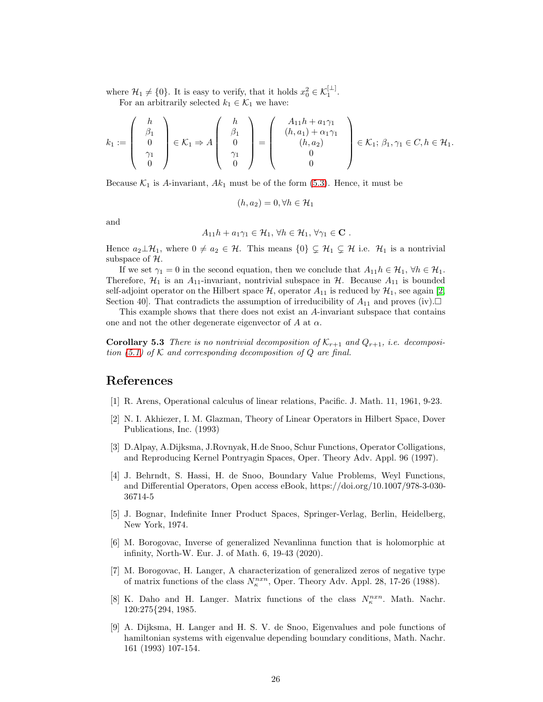where  $\mathcal{H}_1 \neq \{0\}$ . It is easy to verify, that it holds  $x_0^2 \in \mathcal{K}_1^{\lfloor \perp \rfloor}$ . For an arbitrarily selected  $k_1 \in \mathcal{K}_1$  we have:

$$
k_1:=\left(\begin{array}{c}h\\ \beta_1\\ 0\\ \gamma_1\\ 0\end{array}\right)\in \mathcal{K}_1\Rightarrow A\left(\begin{array}{c}h\\ \beta_1\\ 0\\ \gamma_1\\ 0\end{array}\right)=\left(\begin{array}{c}A_{11}h+a_1\gamma_1\\ (h,a_1)+\alpha_1\gamma_1\\ (h,a_2)\\ 0\\ 0\end{array}\right)\in \mathcal{K}_1;\, \beta_1,\gamma_1\in C, h\in \mathcal{H}_1.
$$

Because  $\mathcal{K}_1$  is A-invariant,  $Ak_1$  must be of the form [\(5.3\)](#page-24-1). Hence, it must be

$$
(h, a_2) = 0, \forall h \in \mathcal{H}_1
$$

and

$$
A_{11}h + a_1\gamma_1 \in \mathcal{H}_1, \forall h \in \mathcal{H}_1, \forall \gamma_1 \in \mathbf{C} .
$$

Hence  $a_2 \perp \mathcal{H}_1$ , where  $0 \neq a_2 \in \mathcal{H}$ . This means  $\{0\} \subsetneq \mathcal{H}_1 \subsetneq \mathcal{H}$  i.e.  $\mathcal{H}_1$  is a nontrivial subspace of  $H$ .

If we set  $\gamma_1 = 0$  in the second equation, then we conclude that  $A_{11}h \in \mathcal{H}_1$ ,  $\forall h \in \mathcal{H}_1$ . Therefore,  $\mathcal{H}_1$  is an  $A_{11}$ -invariant, nontrivial subspace in  $\mathcal{H}$ . Because  $A_{11}$  is bounded self-adjoint operator on the Hilbert space  $\mathcal{H}$ , operator  $A_{11}$  is reduced by  $\mathcal{H}_1$ , see again [\[2,](#page-25-7) Section 40]. That contradicts the assumption of irreducibility of  $A_{11}$  and proves (iv).

<span id="page-25-6"></span>This example shows that there does not exist an A-invariant subspace that contains one and not the other degenerate eigenvector of A at  $\alpha$ .

**Corollary 5.3** There is no nontrivial decomposition of  $K_{r+1}$  and  $Q_{r+1}$ , i.e. decomposition  $(5.1)$  of K and corresponding decomposition of Q are final.

### <span id="page-25-0"></span>References

- <span id="page-25-7"></span>[1] R. Arens, Operational calculus of linear relations, Pacific. J. Math. 11, 1961, 9-23.
- [2] N. I. Akhiezer, I. M. Glazman, Theory of Linear Operators in Hilbert Space, Dover Publications, Inc. (1993)
- <span id="page-25-4"></span>[3] D.Alpay, A.Dijksma, J.Rovnyak, H.de Snoo, Schur Functions, Operator Colligations, and Reproducing Kernel Pontryagin Spaces, Oper. Theory Adv. Appl. 96 (1997).
- <span id="page-25-1"></span>[4] J. Behrndt, S. Hassi, H. de Snoo, Boundary Value Problems, Weyl Functions, and Differential Operators, Open access eBook, https://doi.org/10.1007/978-3-030- 36714-5
- <span id="page-25-2"></span>[5] J. Bognar, Indefinite Inner Product Spaces, Springer-Verlag, Berlin, Heidelberg, New York, 1974.
- <span id="page-25-9"></span>[6] M. Borogovac, Inverse of generalized Nevanlinna function that is holomorphic at infinity, North-W. Eur. J. of Math. 6, 19-43 (2020).
- <span id="page-25-8"></span>[7] M. Borogovac, H. Langer, A characterization of generalized zeros of negative type of matrix functions of the class  $N_{\kappa}^{n x n}$ , Oper. Theory Adv. Appl. 28, 17-26 (1988).
- <span id="page-25-5"></span>[8] K. Daho and H. Langer. Matrix functions of the class  $N_{\kappa}^{n x n}$ . Math. Nachr. 120:275{294, 1985.
- <span id="page-25-3"></span>[9] A. Dijksma, H. Langer and H. S. V. de Snoo, Eigenvalues and pole functions of hamiltonian systems with eigenvalue depending boundary conditions, Math. Nachr. 161 (1993) 107-154.